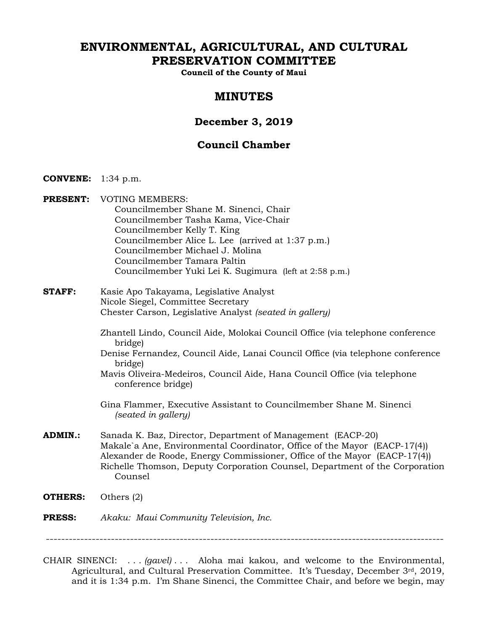# **ENVIRONMENTAL, AGRICULTURAL, AND CULTURAL PRESERVATION COMMITTEE**

**Council of the County of Maui** 

# **MINUTES**

# **December 3, 2019**

# **Council Chamber**

- **CONVENE:** 1:34 p.m.
- **PRESENT:** VOTING MEMBERS: Councilmember Shane M. Sinenci, Chair Councilmember Tasha Kama, Vice-Chair Councilmember Kelly T. King Councilmember Alice L. Lee (arrived at 1:37 p.m.) Councilmember Michael J. Molina Councilmember Tamara Paltin Councilmember Yuki Lei K. Sugimura (left at 2:58 p.m.)
- **STAFF:** Kasie Apo Takayama, Legislative Analyst Nicole Siegel, Committee Secretary Chester Carson, Legislative Analyst *(seated in gallery)*
	- Zhantell Lindo, Council Aide, Molokai Council Office (via telephone conference bridge)
	- Denise Fernandez, Council Aide, Lanai Council Office (via telephone conference bridge)
	- Mavis Oliveira-Medeiros, Council Aide, Hana Council Office (via telephone conference bridge)
	- Gina Flammer, Executive Assistant to Councilmember Shane M. Sinenci *(seated in gallery)*
- **ADMIN.:** Sanada K. Baz, Director, Department of Management (EACP-20) Makale`a Ane, Environmental Coordinator, Office of the Mayor (EACP-17(4)) Alexander de Roode, Energy Commissioner, Office of the Mayor (EACP-17(4)) Richelle Thomson, Deputy Corporation Counsel, Department of the Corporation Counsel
- **OTHERS:** Others (2)

#### **PRESS:** *Akaku: Maui Community Television, Inc.*

--------------------------------------------------------------------------------------------------------

CHAIR SINENCI: . . . *(gavel)* . . . Aloha mai kakou, and welcome to the Environmental, Agricultural, and Cultural Preservation Committee. It's Tuesday, December 3rd, 2019, and it is 1:34 p.m. I'm Shane Sinenci, the Committee Chair, and before we begin, may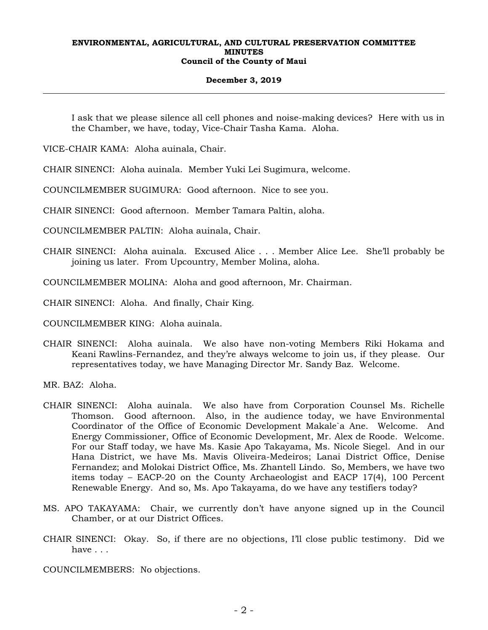#### **December 3, 2019**

I ask that we please silence all cell phones and noise-making devices? Here with us in the Chamber, we have, today, Vice-Chair Tasha Kama. Aloha.

VICE-CHAIR KAMA: Aloha auinala, Chair.

CHAIR SINENCI: Aloha auinala. Member Yuki Lei Sugimura, welcome.

COUNCILMEMBER SUGIMURA: Good afternoon. Nice to see you.

CHAIR SINENCI: Good afternoon. Member Tamara Paltin, aloha.

COUNCILMEMBER PALTIN: Aloha auinala, Chair.

CHAIR SINENCI: Aloha auinala. Excused Alice . . . Member Alice Lee. She'll probably be joining us later. From Upcountry, Member Molina, aloha.

COUNCILMEMBER MOLINA: Aloha and good afternoon, Mr. Chairman.

CHAIR SINENCI: Aloha. And finally, Chair King.

COUNCILMEMBER KING: Aloha auinala.

CHAIR SINENCI: Aloha auinala. We also have non-voting Members Riki Hokama and Keani Rawlins-Fernandez, and they're always welcome to join us, if they please. Our representatives today, we have Managing Director Mr. Sandy Baz. Welcome.

MR. BAZ: Aloha.

- CHAIR SINENCI: Aloha auinala. We also have from Corporation Counsel Ms. Richelle Thomson. Good afternoon. Also, in the audience today, we have Environmental Coordinator of the Office of Economic Development Makale`a Ane. Welcome. And Energy Commissioner, Office of Economic Development, Mr. Alex de Roode. Welcome. For our Staff today, we have Ms. Kasie Apo Takayama, Ms. Nicole Siegel. And in our Hana District, we have Ms. Mavis Oliveira-Medeiros; Lanai District Office, Denise Fernandez; and Molokai District Office, Ms. Zhantell Lindo. So, Members, we have two items today – EACP-20 on the County Archaeologist and EACP 17(4), 100 Percent Renewable Energy. And so, Ms. Apo Takayama, do we have any testifiers today?
- MS. APO TAKAYAMA: Chair, we currently don't have anyone signed up in the Council Chamber, or at our District Offices.
- CHAIR SINENCI: Okay. So, if there are no objections, I'll close public testimony. Did we have . . .

COUNCILMEMBERS: No objections.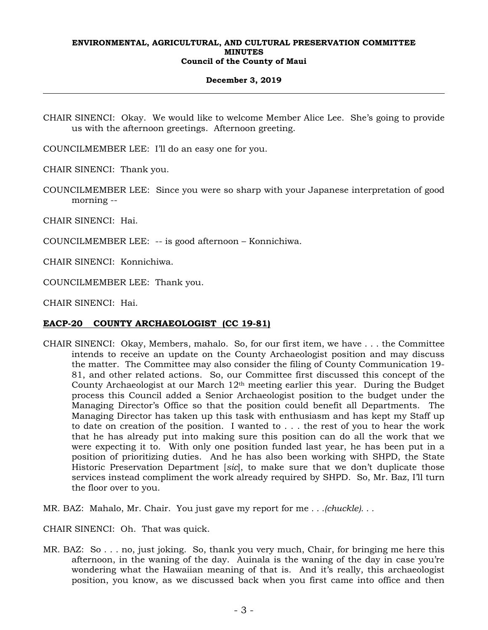## **December 3, 2019**

CHAIR SINENCI: Okay. We would like to welcome Member Alice Lee. She's going to provide us with the afternoon greetings. Afternoon greeting.

COUNCILMEMBER LEE: I'll do an easy one for you.

CHAIR SINENCI: Thank you.

COUNCILMEMBER LEE: Since you were so sharp with your Japanese interpretation of good morning --

CHAIR SINENCI: Hai.

COUNCILMEMBER LEE: -- is good afternoon – Konnichiwa.

CHAIR SINENCI: Konnichiwa.

COUNCILMEMBER LEE: Thank you.

CHAIR SINENCI: Hai.

# **EACP-20 COUNTY ARCHAEOLOGIST (CC 19-81)**

- CHAIR SINENCI: Okay, Members, mahalo. So, for our first item, we have . . . the Committee intends to receive an update on the County Archaeologist position and may discuss the matter. The Committee may also consider the filing of County Communication 19- 81, and other related actions. So, our Committee first discussed this concept of the County Archaeologist at our March 12th meeting earlier this year. During the Budget process this Council added a Senior Archaeologist position to the budget under the Managing Director's Office so that the position could benefit all Departments. The Managing Director has taken up this task with enthusiasm and has kept my Staff up to date on creation of the position. I wanted to . . . the rest of you to hear the work that he has already put into making sure this position can do all the work that we were expecting it to. With only one position funded last year, he has been put in a position of prioritizing duties. And he has also been working with SHPD, the State Historic Preservation Department [*sic*], to make sure that we don't duplicate those services instead compliment the work already required by SHPD. So, Mr. Baz, I'll turn the floor over to you.
- MR. BAZ: Mahalo, Mr. Chair. You just gave my report for me *. . .(chuckle). . .*

CHAIR SINENCI: Oh. That was quick.

MR. BAZ: So . . . no, just joking. So, thank you very much, Chair, for bringing me here this afternoon, in the waning of the day. Auinala is the waning of the day in case you're wondering what the Hawaiian meaning of that is. And it's really, this archaeologist position, you know, as we discussed back when you first came into office and then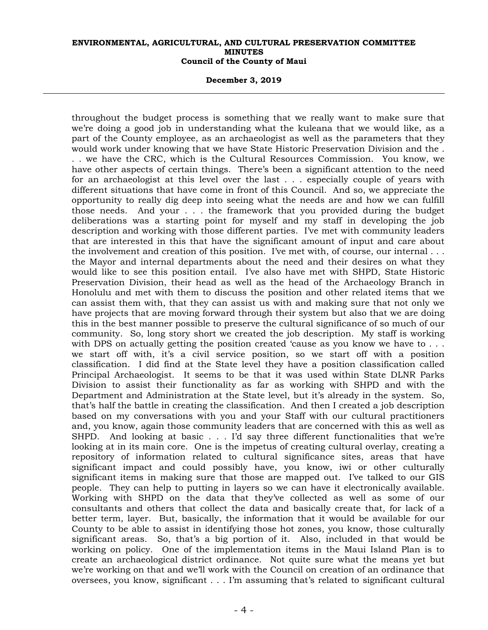#### **December 3, 2019**

throughout the budget process is something that we really want to make sure that we're doing a good job in understanding what the kuleana that we would like, as a part of the County employee, as an archaeologist as well as the parameters that they would work under knowing that we have State Historic Preservation Division and the . . . we have the CRC, which is the Cultural Resources Commission. You know, we have other aspects of certain things. There's been a significant attention to the need for an archaeologist at this level over the last . . . especially couple of years with different situations that have come in front of this Council. And so, we appreciate the opportunity to really dig deep into seeing what the needs are and how we can fulfill those needs. And your . . . the framework that you provided during the budget deliberations was a starting point for myself and my staff in developing the job description and working with those different parties. I've met with community leaders that are interested in this that have the significant amount of input and care about the involvement and creation of this position. I've met with, of course, our internal . . . the Mayor and internal departments about the need and their desires on what they would like to see this position entail. I've also have met with SHPD, State Historic Preservation Division, their head as well as the head of the Archaeology Branch in Honolulu and met with them to discuss the position and other related items that we can assist them with, that they can assist us with and making sure that not only we have projects that are moving forward through their system but also that we are doing this in the best manner possible to preserve the cultural significance of so much of our community. So, long story short we created the job description. My staff is working with DPS on actually getting the position created 'cause as you know we have to ... we start off with, it's a civil service position, so we start off with a position classification. I did find at the State level they have a position classification called Principal Archaeologist. It seems to be that it was used within State DLNR Parks Division to assist their functionality as far as working with SHPD and with the Department and Administration at the State level, but it's already in the system. So, that's half the battle in creating the classification. And then I created a job description based on my conversations with you and your Staff with our cultural practitioners and, you know, again those community leaders that are concerned with this as well as SHPD. And looking at basic . . . I'd say three different functionalities that we're looking at in its main core. One is the impetus of creating cultural overlay, creating a repository of information related to cultural significance sites, areas that have significant impact and could possibly have, you know, iwi or other culturally significant items in making sure that those are mapped out. I've talked to our GIS people. They can help to putting in layers so we can have it electronically available. Working with SHPD on the data that they've collected as well as some of our consultants and others that collect the data and basically create that, for lack of a better term, layer. But, basically, the information that it would be available for our County to be able to assist in identifying those hot zones, you know, those culturally significant areas. So, that's a big portion of it. Also, included in that would be working on policy. One of the implementation items in the Maui Island Plan is to create an archaeological district ordinance. Not quite sure what the means yet but we're working on that and we'll work with the Council on creation of an ordinance that oversees, you know, significant . . . I'm assuming that's related to significant cultural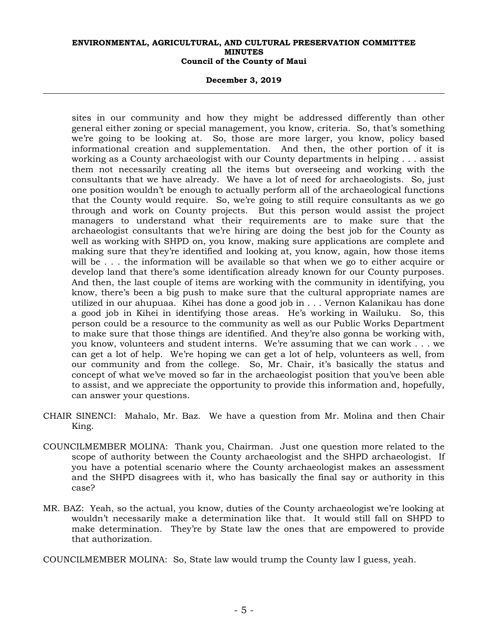**December 3, 2019** 

sites in our community and how they might be addressed differently than other general either zoning or special management, you know, criteria. So, that's something we're going to be looking at. So, those are more larger, you know, policy based informational creation and supplementation. And then, the other portion of it is working as a County archaeologist with our County departments in helping . . . assist them not necessarily creating all the items but overseeing and working with the consultants that we have already. We have a lot of need for archaeologists. So, just one position wouldn't be enough to actually perform all of the archaeological functions that the County would require. So, we're going to still require consultants as we go through and work on County projects. But this person would assist the project managers to understand what their requirements are to make sure that the archaeologist consultants that we're hiring are doing the best job for the County as well as working with SHPD on, you know, making sure applications are complete and making sure that they're identified and looking at, you know, again, how those items will be . . . the information will be available so that when we go to either acquire or develop land that there's some identification already known for our County purposes. And then, the last couple of items are working with the community in identifying, you know, there's been a big push to make sure that the cultural appropriate names are utilized in our ahupuaa. Kihei has done a good job in . . . Vernon Kalanikau has done a good job in Kihei in identifying those areas. He's working in Wailuku. So, this person could be a resource to the community as well as our Public Works Department to make sure that those things are identified. And they're also gonna be working with, you know, volunteers and student interns. We're assuming that we can work . . . we can get a lot of help. We're hoping we can get a lot of help, volunteers as well, from our community and from the college. So, Mr. Chair, it's basically the status and concept of what we've moved so far in the archaeologist position that you've been able to assist, and we appreciate the opportunity to provide this information and, hopefully, can answer your questions.

- CHAIR SINENCI: Mahalo, Mr. Baz. We have a question from Mr. Molina and then Chair King.
- COUNCILMEMBER MOLINA: Thank you, Chairman. Just one question more related to the scope of authority between the County archaeologist and the SHPD archaeologist. If you have a potential scenario where the County archaeologist makes an assessment and the SHPD disagrees with it, who has basically the final say or authority in this case?
- MR. BAZ: Yeah, so the actual, you know, duties of the County archaeologist we're looking at wouldn't necessarily make a determination like that. It would still fall on SHPD to make determination. They're by State law the ones that are empowered to provide that authorization.

COUNCILMEMBER MOLINA: So, State law would trump the County law I guess, yeah.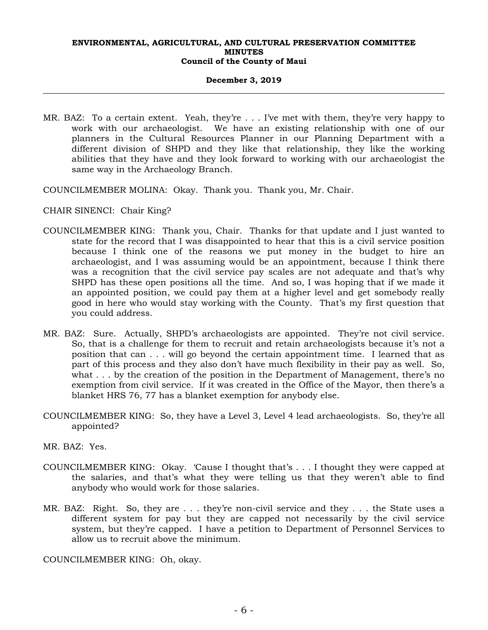#### **December 3, 2019**

- MR. BAZ: To a certain extent. Yeah, they're . . . I've met with them, they're very happy to work with our archaeologist. We have an existing relationship with one of our planners in the Cultural Resources Planner in our Planning Department with a different division of SHPD and they like that relationship, they like the working abilities that they have and they look forward to working with our archaeologist the same way in the Archaeology Branch.
- COUNCILMEMBER MOLINA: Okay. Thank you. Thank you, Mr. Chair.
- CHAIR SINENCI: Chair King?
- COUNCILMEMBER KING: Thank you, Chair. Thanks for that update and I just wanted to state for the record that I was disappointed to hear that this is a civil service position because I think one of the reasons we put money in the budget to hire an archaeologist, and I was assuming would be an appointment, because I think there was a recognition that the civil service pay scales are not adequate and that's why SHPD has these open positions all the time. And so, I was hoping that if we made it an appointed position, we could pay them at a higher level and get somebody really good in here who would stay working with the County. That's my first question that you could address.
- MR. BAZ: Sure. Actually, SHPD's archaeologists are appointed. They're not civil service. So, that is a challenge for them to recruit and retain archaeologists because it's not a position that can . . . will go beyond the certain appointment time. I learned that as part of this process and they also don't have much flexibility in their pay as well. So, what . . . by the creation of the position in the Department of Management, there's no exemption from civil service. If it was created in the Office of the Mayor, then there's a blanket HRS 76, 77 has a blanket exemption for anybody else.
- COUNCILMEMBER KING: So, they have a Level 3, Level 4 lead archaeologists. So, they're all appointed?
- MR. BAZ: Yes.
- COUNCILMEMBER KING: Okay. 'Cause I thought that's . . . I thought they were capped at the salaries, and that's what they were telling us that they weren't able to find anybody who would work for those salaries.
- MR. BAZ: Right. So, they are . . . they're non-civil service and they . . . the State uses a different system for pay but they are capped not necessarily by the civil service system, but they're capped. I have a petition to Department of Personnel Services to allow us to recruit above the minimum.

COUNCILMEMBER KING: Oh, okay.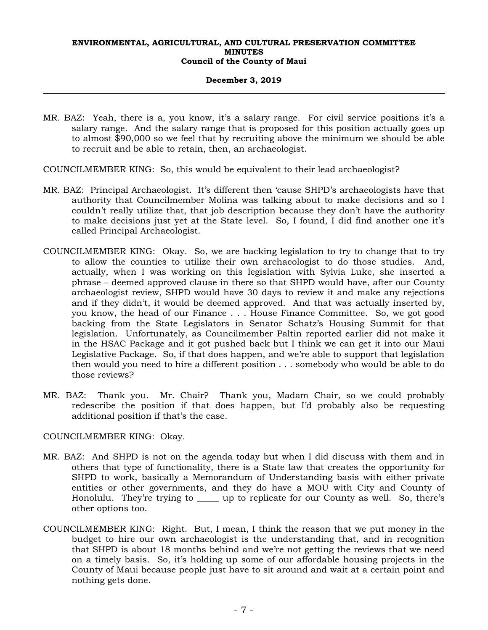## **December 3, 2019**

MR. BAZ: Yeah, there is a, you know, it's a salary range. For civil service positions it's a salary range. And the salary range that is proposed for this position actually goes up to almost \$90,000 so we feel that by recruiting above the minimum we should be able to recruit and be able to retain, then, an archaeologist.

COUNCILMEMBER KING: So, this would be equivalent to their lead archaeologist?

- MR. BAZ: Principal Archaeologist. It's different then 'cause SHPD's archaeologists have that authority that Councilmember Molina was talking about to make decisions and so I couldn't really utilize that, that job description because they don't have the authority to make decisions just yet at the State level. So, I found, I did find another one it's called Principal Archaeologist.
- COUNCILMEMBER KING: Okay. So, we are backing legislation to try to change that to try to allow the counties to utilize their own archaeologist to do those studies. And, actually, when I was working on this legislation with Sylvia Luke, she inserted a phrase – deemed approved clause in there so that SHPD would have, after our County archaeologist review, SHPD would have 30 days to review it and make any rejections and if they didn't, it would be deemed approved. And that was actually inserted by, you know, the head of our Finance . . . House Finance Committee. So, we got good backing from the State Legislators in Senator Schatz's Housing Summit for that legislation. Unfortunately, as Councilmember Paltin reported earlier did not make it in the HSAC Package and it got pushed back but I think we can get it into our Maui Legislative Package. So, if that does happen, and we're able to support that legislation then would you need to hire a different position . . . somebody who would be able to do those reviews?
- MR. BAZ: Thank you. Mr. Chair? Thank you, Madam Chair, so we could probably redescribe the position if that does happen, but I'd probably also be requesting additional position if that's the case.

# COUNCILMEMBER KING: Okay.

- MR. BAZ: And SHPD is not on the agenda today but when I did discuss with them and in others that type of functionality, there is a State law that creates the opportunity for SHPD to work, basically a Memorandum of Understanding basis with either private entities or other governments, and they do have a MOU with City and County of Honolulu. They're trying to \_\_\_\_\_ up to replicate for our County as well. So, there's other options too.
- COUNCILMEMBER KING: Right. But, I mean, I think the reason that we put money in the budget to hire our own archaeologist is the understanding that, and in recognition that SHPD is about 18 months behind and we're not getting the reviews that we need on a timely basis. So, it's holding up some of our affordable housing projects in the County of Maui because people just have to sit around and wait at a certain point and nothing gets done.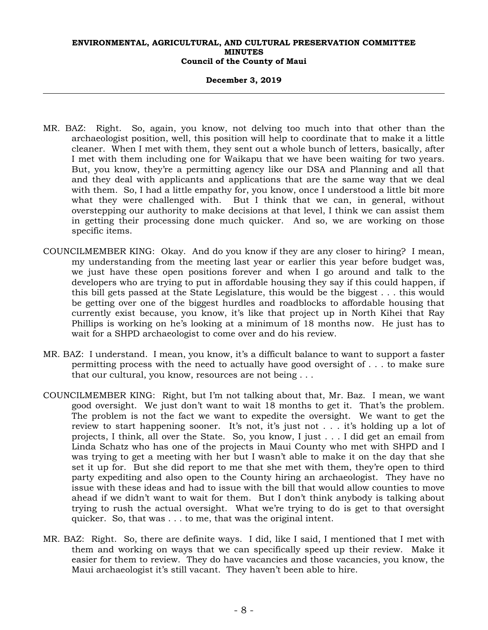#### **December 3, 2019**

- MR. BAZ: Right. So, again, you know, not delving too much into that other than the archaeologist position, well, this position will help to coordinate that to make it a little cleaner. When I met with them, they sent out a whole bunch of letters, basically, after I met with them including one for Waikapu that we have been waiting for two years. But, you know, they're a permitting agency like our DSA and Planning and all that and they deal with applicants and applications that are the same way that we deal with them. So, I had a little empathy for, you know, once I understood a little bit more what they were challenged with. But I think that we can, in general, without overstepping our authority to make decisions at that level, I think we can assist them in getting their processing done much quicker. And so, we are working on those specific items.
- COUNCILMEMBER KING: Okay. And do you know if they are any closer to hiring? I mean, my understanding from the meeting last year or earlier this year before budget was, we just have these open positions forever and when I go around and talk to the developers who are trying to put in affordable housing they say if this could happen, if this bill gets passed at the State Legislature, this would be the biggest . . . this would be getting over one of the biggest hurdles and roadblocks to affordable housing that currently exist because, you know, it's like that project up in North Kihei that Ray Phillips is working on he's looking at a minimum of 18 months now. He just has to wait for a SHPD archaeologist to come over and do his review.
- MR. BAZ: I understand. I mean, you know, it's a difficult balance to want to support a faster permitting process with the need to actually have good oversight of . . . to make sure that our cultural, you know, resources are not being . . .
- COUNCILMEMBER KING: Right, but I'm not talking about that, Mr. Baz. I mean, we want good oversight. We just don't want to wait 18 months to get it. That's the problem. The problem is not the fact we want to expedite the oversight. We want to get the review to start happening sooner. It's not, it's just not . . . it's holding up a lot of projects, I think, all over the State. So, you know, I just . . . I did get an email from Linda Schatz who has one of the projects in Maui County who met with SHPD and I was trying to get a meeting with her but I wasn't able to make it on the day that she set it up for. But she did report to me that she met with them, they're open to third party expediting and also open to the County hiring an archaeologist. They have no issue with these ideas and had to issue with the bill that would allow counties to move ahead if we didn't want to wait for them. But I don't think anybody is talking about trying to rush the actual oversight. What we're trying to do is get to that oversight quicker. So, that was . . . to me, that was the original intent.
- MR. BAZ: Right. So, there are definite ways. I did, like I said, I mentioned that I met with them and working on ways that we can specifically speed up their review. Make it easier for them to review. They do have vacancies and those vacancies, you know, the Maui archaeologist it's still vacant. They haven't been able to hire.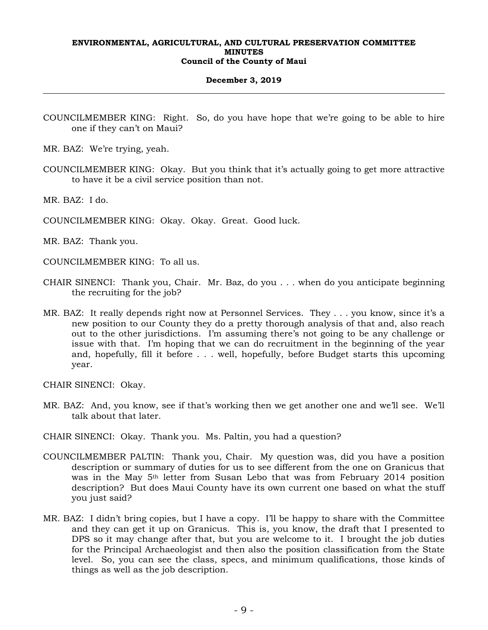#### **December 3, 2019**

- COUNCILMEMBER KING: Right. So, do you have hope that we're going to be able to hire one if they can't on Maui?
- MR. BAZ: We're trying, yeah.
- COUNCILMEMBER KING: Okay. But you think that it's actually going to get more attractive to have it be a civil service position than not.

MR. BAZ: I do.

COUNCILMEMBER KING: Okay. Okay. Great. Good luck.

MR. BAZ: Thank you.

COUNCILMEMBER KING: To all us.

- CHAIR SINENCI: Thank you, Chair. Mr. Baz, do you . . . when do you anticipate beginning the recruiting for the job?
- MR. BAZ: It really depends right now at Personnel Services. They . . . you know, since it's a new position to our County they do a pretty thorough analysis of that and, also reach out to the other jurisdictions. I'm assuming there's not going to be any challenge or issue with that. I'm hoping that we can do recruitment in the beginning of the year and, hopefully, fill it before . . . well, hopefully, before Budget starts this upcoming year.

CHAIR SINENCI: Okay.

- MR. BAZ: And, you know, see if that's working then we get another one and we'll see. We'll talk about that later.
- CHAIR SINENCI: Okay. Thank you. Ms. Paltin, you had a question?
- COUNCILMEMBER PALTIN: Thank you, Chair. My question was, did you have a position description or summary of duties for us to see different from the one on Granicus that was in the May 5th letter from Susan Lebo that was from February 2014 position description? But does Maui County have its own current one based on what the stuff you just said?
- MR. BAZ: I didn't bring copies, but I have a copy. I'll be happy to share with the Committee and they can get it up on Granicus. This is, you know, the draft that I presented to DPS so it may change after that, but you are welcome to it. I brought the job duties for the Principal Archaeologist and then also the position classification from the State level. So, you can see the class, specs, and minimum qualifications, those kinds of things as well as the job description.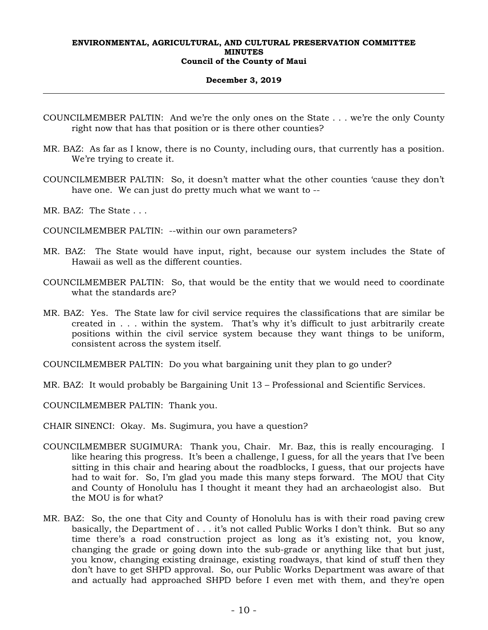#### **December 3, 2019**

- COUNCILMEMBER PALTIN: And we're the only ones on the State . . . we're the only County right now that has that position or is there other counties?
- MR. BAZ: As far as I know, there is no County, including ours, that currently has a position. We're trying to create it.
- COUNCILMEMBER PALTIN: So, it doesn't matter what the other counties 'cause they don't have one. We can just do pretty much what we want to --
- MR. BAZ: The State . . .
- COUNCILMEMBER PALTIN: --within our own parameters?
- MR. BAZ: The State would have input, right, because our system includes the State of Hawaii as well as the different counties.
- COUNCILMEMBER PALTIN: So, that would be the entity that we would need to coordinate what the standards are?
- MR. BAZ: Yes. The State law for civil service requires the classifications that are similar be created in . . . within the system. That's why it's difficult to just arbitrarily create positions within the civil service system because they want things to be uniform, consistent across the system itself.
- COUNCILMEMBER PALTIN: Do you what bargaining unit they plan to go under?
- MR. BAZ: It would probably be Bargaining Unit 13 Professional and Scientific Services.

COUNCILMEMBER PALTIN: Thank you.

- CHAIR SINENCI: Okay. Ms. Sugimura, you have a question?
- COUNCILMEMBER SUGIMURA: Thank you, Chair. Mr. Baz, this is really encouraging. I like hearing this progress. It's been a challenge, I guess, for all the years that I've been sitting in this chair and hearing about the roadblocks, I guess, that our projects have had to wait for. So, I'm glad you made this many steps forward. The MOU that City and County of Honolulu has I thought it meant they had an archaeologist also. But the MOU is for what?
- MR. BAZ: So, the one that City and County of Honolulu has is with their road paving crew basically, the Department of . . . it's not called Public Works I don't think. But so any time there's a road construction project as long as it's existing not, you know, changing the grade or going down into the sub-grade or anything like that but just, you know, changing existing drainage, existing roadways, that kind of stuff then they don't have to get SHPD approval. So, our Public Works Department was aware of that and actually had approached SHPD before I even met with them, and they're open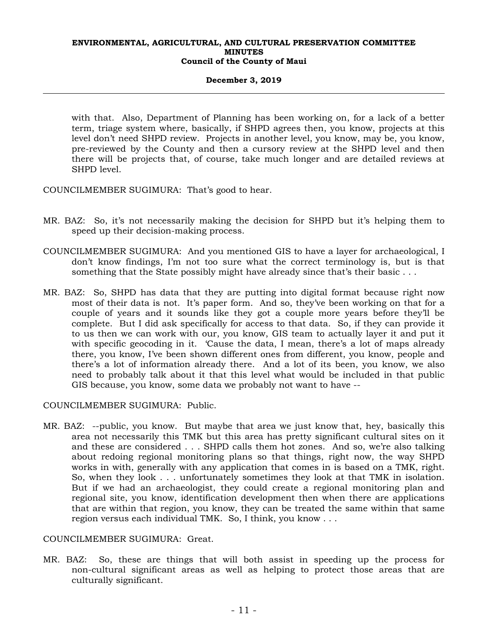## **December 3, 2019**

with that. Also, Department of Planning has been working on, for a lack of a better term, triage system where, basically, if SHPD agrees then, you know, projects at this level don't need SHPD review. Projects in another level, you know, may be, you know, pre-reviewed by the County and then a cursory review at the SHPD level and then there will be projects that, of course, take much longer and are detailed reviews at SHPD level.

COUNCILMEMBER SUGIMURA: That's good to hear.

- MR. BAZ: So, it's not necessarily making the decision for SHPD but it's helping them to speed up their decision-making process.
- COUNCILMEMBER SUGIMURA: And you mentioned GIS to have a layer for archaeological, I don't know findings, I'm not too sure what the correct terminology is, but is that something that the State possibly might have already since that's their basic . . .
- MR. BAZ: So, SHPD has data that they are putting into digital format because right now most of their data is not. It's paper form. And so, they've been working on that for a couple of years and it sounds like they got a couple more years before they'll be complete. But I did ask specifically for access to that data. So, if they can provide it to us then we can work with our, you know, GIS team to actually layer it and put it with specific geocoding in it. 'Cause the data, I mean, there's a lot of maps already there, you know, I've been shown different ones from different, you know, people and there's a lot of information already there. And a lot of its been, you know, we also need to probably talk about it that this level what would be included in that public GIS because, you know, some data we probably not want to have --

## COUNCILMEMBER SUGIMURA: Public.

MR. BAZ: --public, you know. But maybe that area we just know that, hey, basically this area not necessarily this TMK but this area has pretty significant cultural sites on it and these are considered . . . SHPD calls them hot zones. And so, we're also talking about redoing regional monitoring plans so that things, right now, the way SHPD works in with, generally with any application that comes in is based on a TMK, right. So, when they look . . . unfortunately sometimes they look at that TMK in isolation. But if we had an archaeologist, they could create a regional monitoring plan and regional site, you know, identification development then when there are applications that are within that region, you know, they can be treated the same within that same region versus each individual TMK. So, I think, you know . . .

# COUNCILMEMBER SUGIMURA: Great.

MR. BAZ: So, these are things that will both assist in speeding up the process for non-cultural significant areas as well as helping to protect those areas that are culturally significant.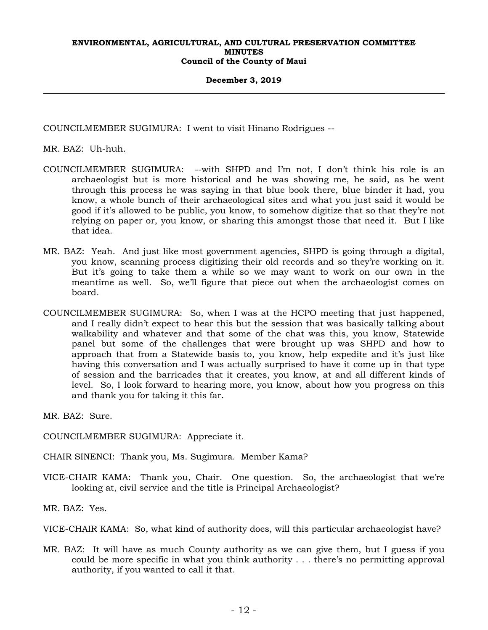#### **December 3, 2019**

COUNCILMEMBER SUGIMURA: I went to visit Hinano Rodrigues --

MR. BAZ: Uh-huh.

- COUNCILMEMBER SUGIMURA: --with SHPD and I'm not, I don't think his role is an archaeologist but is more historical and he was showing me, he said, as he went through this process he was saying in that blue book there, blue binder it had, you know, a whole bunch of their archaeological sites and what you just said it would be good if it's allowed to be public, you know, to somehow digitize that so that they're not relying on paper or, you know, or sharing this amongst those that need it. But I like that idea.
- MR. BAZ: Yeah. And just like most government agencies, SHPD is going through a digital, you know, scanning process digitizing their old records and so they're working on it. But it's going to take them a while so we may want to work on our own in the meantime as well. So, we'll figure that piece out when the archaeologist comes on board.
- COUNCILMEMBER SUGIMURA: So, when I was at the HCPO meeting that just happened, and I really didn't expect to hear this but the session that was basically talking about walkability and whatever and that some of the chat was this, you know, Statewide panel but some of the challenges that were brought up was SHPD and how to approach that from a Statewide basis to, you know, help expedite and it's just like having this conversation and I was actually surprised to have it come up in that type of session and the barricades that it creates, you know, at and all different kinds of level. So, I look forward to hearing more, you know, about how you progress on this and thank you for taking it this far.

MR. BAZ: Sure.

COUNCILMEMBER SUGIMURA: Appreciate it.

CHAIR SINENCI: Thank you, Ms. Sugimura. Member Kama?

VICE-CHAIR KAMA: Thank you, Chair. One question. So, the archaeologist that we're looking at, civil service and the title is Principal Archaeologist?

MR. BAZ: Yes.

VICE-CHAIR KAMA: So, what kind of authority does, will this particular archaeologist have?

MR. BAZ: It will have as much County authority as we can give them, but I guess if you could be more specific in what you think authority . . . there's no permitting approval authority, if you wanted to call it that.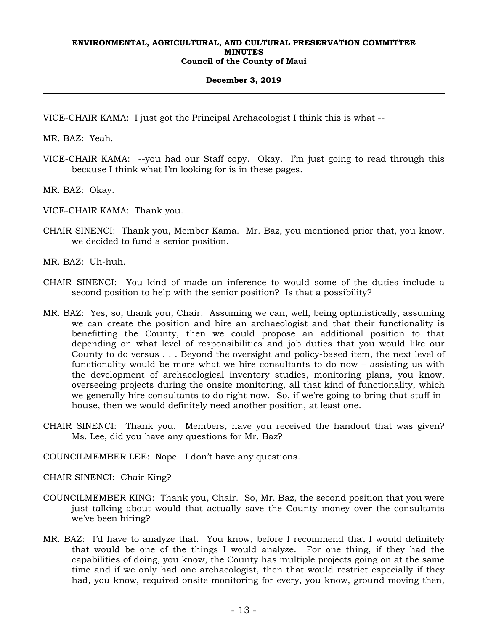## **December 3, 2019**

VICE-CHAIR KAMA: I just got the Principal Archaeologist I think this is what --

MR. BAZ: Yeah.

VICE-CHAIR KAMA: --you had our Staff copy. Okay. I'm just going to read through this because I think what I'm looking for is in these pages.

MR. BAZ: Okay.

VICE-CHAIR KAMA: Thank you.

CHAIR SINENCI: Thank you, Member Kama. Mr. Baz, you mentioned prior that, you know, we decided to fund a senior position.

MR. BAZ: Uh-huh.

- CHAIR SINENCI: You kind of made an inference to would some of the duties include a second position to help with the senior position? Is that a possibility?
- MR. BAZ: Yes, so, thank you, Chair. Assuming we can, well, being optimistically, assuming we can create the position and hire an archaeologist and that their functionality is benefitting the County, then we could propose an additional position to that depending on what level of responsibilities and job duties that you would like our County to do versus . . . Beyond the oversight and policy-based item, the next level of functionality would be more what we hire consultants to do now – assisting us with the development of archaeological inventory studies, monitoring plans, you know, overseeing projects during the onsite monitoring, all that kind of functionality, which we generally hire consultants to do right now. So, if we're going to bring that stuff inhouse, then we would definitely need another position, at least one.
- CHAIR SINENCI: Thank you. Members, have you received the handout that was given? Ms. Lee, did you have any questions for Mr. Baz?

COUNCILMEMBER LEE: Nope. I don't have any questions.

CHAIR SINENCI: Chair King?

- COUNCILMEMBER KING: Thank you, Chair. So, Mr. Baz, the second position that you were just talking about would that actually save the County money over the consultants we've been hiring?
- MR. BAZ: I'd have to analyze that. You know, before I recommend that I would definitely that would be one of the things I would analyze. For one thing, if they had the capabilities of doing, you know, the County has multiple projects going on at the same time and if we only had one archaeologist, then that would restrict especially if they had, you know, required onsite monitoring for every, you know, ground moving then,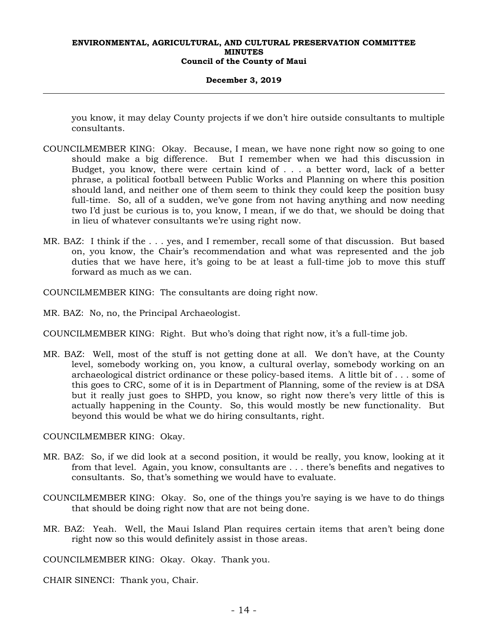#### **December 3, 2019**

you know, it may delay County projects if we don't hire outside consultants to multiple consultants.

- COUNCILMEMBER KING: Okay. Because, I mean, we have none right now so going to one should make a big difference. But I remember when we had this discussion in Budget, you know, there were certain kind of . . . a better word, lack of a better phrase, a political football between Public Works and Planning on where this position should land, and neither one of them seem to think they could keep the position busy full-time. So, all of a sudden, we've gone from not having anything and now needing two I'd just be curious is to, you know, I mean, if we do that, we should be doing that in lieu of whatever consultants we're using right now.
- MR. BAZ: I think if the . . . yes, and I remember, recall some of that discussion. But based on, you know, the Chair's recommendation and what was represented and the job duties that we have here, it's going to be at least a full-time job to move this stuff forward as much as we can.
- COUNCILMEMBER KING: The consultants are doing right now.
- MR. BAZ: No, no, the Principal Archaeologist.
- COUNCILMEMBER KING: Right. But who's doing that right now, it's a full-time job.
- MR. BAZ: Well, most of the stuff is not getting done at all. We don't have, at the County level, somebody working on, you know, a cultural overlay, somebody working on an archaeological district ordinance or these policy-based items. A little bit of . . . some of this goes to CRC, some of it is in Department of Planning, some of the review is at DSA but it really just goes to SHPD, you know, so right now there's very little of this is actually happening in the County. So, this would mostly be new functionality. But beyond this would be what we do hiring consultants, right.

COUNCILMEMBER KING: Okay.

- MR. BAZ: So, if we did look at a second position, it would be really, you know, looking at it from that level. Again, you know, consultants are . . . there's benefits and negatives to consultants. So, that's something we would have to evaluate.
- COUNCILMEMBER KING: Okay. So, one of the things you're saying is we have to do things that should be doing right now that are not being done.
- MR. BAZ: Yeah. Well, the Maui Island Plan requires certain items that aren't being done right now so this would definitely assist in those areas.

COUNCILMEMBER KING: Okay. Okay. Thank you.

CHAIR SINENCI: Thank you, Chair.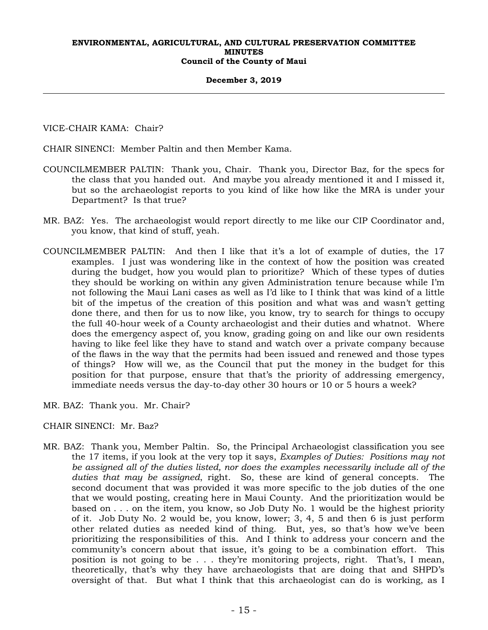#### **December 3, 2019**

VICE-CHAIR KAMA: Chair?

CHAIR SINENCI: Member Paltin and then Member Kama.

- COUNCILMEMBER PALTIN: Thank you, Chair. Thank you, Director Baz, for the specs for the class that you handed out. And maybe you already mentioned it and I missed it, but so the archaeologist reports to you kind of like how like the MRA is under your Department? Is that true?
- MR. BAZ: Yes. The archaeologist would report directly to me like our CIP Coordinator and, you know, that kind of stuff, yeah.
- COUNCILMEMBER PALTIN: And then I like that it's a lot of example of duties, the 17 examples. I just was wondering like in the context of how the position was created during the budget, how you would plan to prioritize? Which of these types of duties they should be working on within any given Administration tenure because while I'm not following the Maui Lani cases as well as I'd like to I think that was kind of a little bit of the impetus of the creation of this position and what was and wasn't getting done there, and then for us to now like, you know, try to search for things to occupy the full 40-hour week of a County archaeologist and their duties and whatnot. Where does the emergency aspect of, you know, grading going on and like our own residents having to like feel like they have to stand and watch over a private company because of the flaws in the way that the permits had been issued and renewed and those types of things? How will we, as the Council that put the money in the budget for this position for that purpose, ensure that that's the priority of addressing emergency, immediate needs versus the day-to-day other 30 hours or 10 or 5 hours a week?
- MR. BAZ: Thank you. Mr. Chair?

# CHAIR SINENCI: Mr. Baz?

MR. BAZ: Thank you, Member Paltin. So, the Principal Archaeologist classification you see the 17 items, if you look at the very top it says, *Examples of Duties: Positions may not be assigned all of the duties listed, nor does the examples necessarily include all of the duties that may be assigned*, right. So, these are kind of general concepts. The second document that was provided it was more specific to the job duties of the one that we would posting, creating here in Maui County. And the prioritization would be based on . . . on the item, you know, so Job Duty No. 1 would be the highest priority of it. Job Duty No. 2 would be, you know, lower; 3, 4, 5 and then 6 is just perform other related duties as needed kind of thing. But, yes, so that's how we've been prioritizing the responsibilities of this. And I think to address your concern and the community's concern about that issue, it's going to be a combination effort. This position is not going to be . . . they're monitoring projects, right. That's, I mean, theoretically, that's why they have archaeologists that are doing that and SHPD's oversight of that. But what I think that this archaeologist can do is working, as I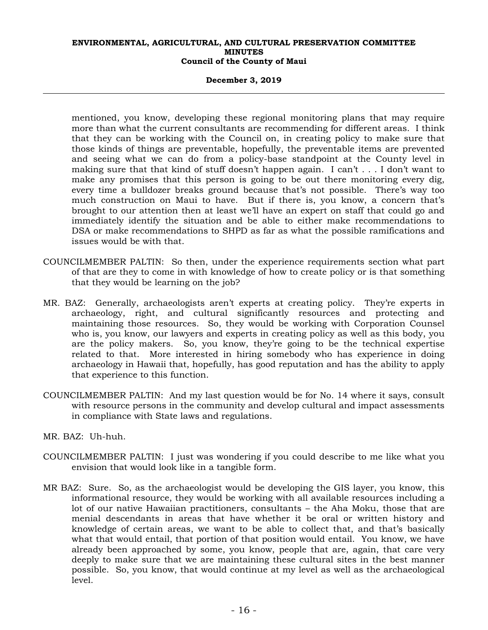#### **December 3, 2019**

mentioned, you know, developing these regional monitoring plans that may require more than what the current consultants are recommending for different areas. I think that they can be working with the Council on, in creating policy to make sure that those kinds of things are preventable, hopefully, the preventable items are prevented and seeing what we can do from a policy-base standpoint at the County level in making sure that that kind of stuff doesn't happen again. I can't . . . I don't want to make any promises that this person is going to be out there monitoring every dig, every time a bulldozer breaks ground because that's not possible. There's way too much construction on Maui to have. But if there is, you know, a concern that's brought to our attention then at least we'll have an expert on staff that could go and immediately identify the situation and be able to either make recommendations to DSA or make recommendations to SHPD as far as what the possible ramifications and issues would be with that.

- COUNCILMEMBER PALTIN: So then, under the experience requirements section what part of that are they to come in with knowledge of how to create policy or is that something that they would be learning on the job?
- MR. BAZ: Generally, archaeologists aren't experts at creating policy. They're experts in archaeology, right, and cultural significantly resources and protecting and maintaining those resources. So, they would be working with Corporation Counsel who is, you know, our lawyers and experts in creating policy as well as this body, you are the policy makers. So, you know, they're going to be the technical expertise related to that. More interested in hiring somebody who has experience in doing archaeology in Hawaii that, hopefully, has good reputation and has the ability to apply that experience to this function.
- COUNCILMEMBER PALTIN: And my last question would be for No. 14 where it says, consult with resource persons in the community and develop cultural and impact assessments in compliance with State laws and regulations.
- MR. BAZ: Uh-huh.
- COUNCILMEMBER PALTIN: I just was wondering if you could describe to me like what you envision that would look like in a tangible form.
- MR BAZ: Sure. So, as the archaeologist would be developing the GIS layer, you know, this informational resource, they would be working with all available resources including a lot of our native Hawaiian practitioners, consultants – the Aha Moku, those that are menial descendants in areas that have whether it be oral or written history and knowledge of certain areas, we want to be able to collect that, and that's basically what that would entail, that portion of that position would entail. You know, we have already been approached by some, you know, people that are, again, that care very deeply to make sure that we are maintaining these cultural sites in the best manner possible. So, you know, that would continue at my level as well as the archaeological level.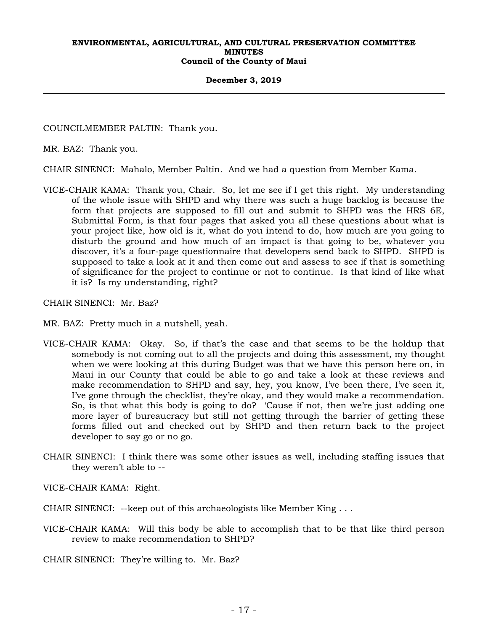#### **December 3, 2019**

COUNCILMEMBER PALTIN: Thank you.

MR. BAZ: Thank you.

CHAIR SINENCI: Mahalo, Member Paltin. And we had a question from Member Kama.

VICE-CHAIR KAMA: Thank you, Chair. So, let me see if I get this right. My understanding of the whole issue with SHPD and why there was such a huge backlog is because the form that projects are supposed to fill out and submit to SHPD was the HRS 6E, Submittal Form, is that four pages that asked you all these questions about what is your project like, how old is it, what do you intend to do, how much are you going to disturb the ground and how much of an impact is that going to be, whatever you discover, it's a four-page questionnaire that developers send back to SHPD. SHPD is supposed to take a look at it and then come out and assess to see if that is something of significance for the project to continue or not to continue. Is that kind of like what it is? Is my understanding, right?

CHAIR SINENCI: Mr. Baz?

MR. BAZ: Pretty much in a nutshell, yeah.

- VICE-CHAIR KAMA: Okay. So, if that's the case and that seems to be the holdup that somebody is not coming out to all the projects and doing this assessment, my thought when we were looking at this during Budget was that we have this person here on, in Maui in our County that could be able to go and take a look at these reviews and make recommendation to SHPD and say, hey, you know, I've been there, I've seen it, I've gone through the checklist, they're okay, and they would make a recommendation. So, is that what this body is going to do? 'Cause if not, then we're just adding one more layer of bureaucracy but still not getting through the barrier of getting these forms filled out and checked out by SHPD and then return back to the project developer to say go or no go.
- CHAIR SINENCI: I think there was some other issues as well, including staffing issues that they weren't able to --

VICE-CHAIR KAMA: Right.

CHAIR SINENCI: --keep out of this archaeologists like Member King . . .

VICE-CHAIR KAMA: Will this body be able to accomplish that to be that like third person review to make recommendation to SHPD?

CHAIR SINENCI: They're willing to. Mr. Baz?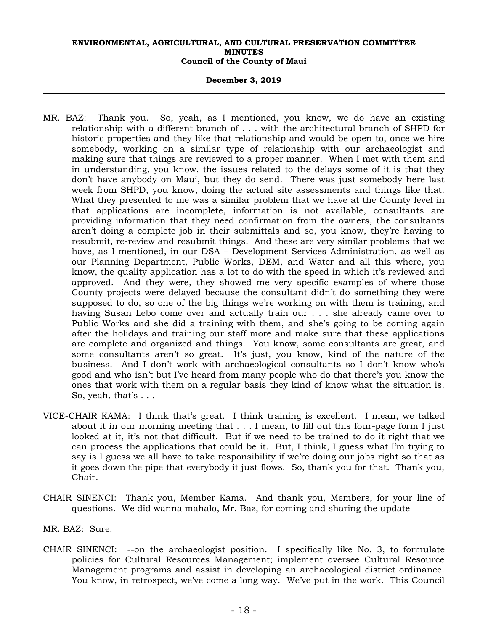#### **December 3, 2019**

- MR. BAZ: Thank you. So, yeah, as I mentioned, you know, we do have an existing relationship with a different branch of . . . with the architectural branch of SHPD for historic properties and they like that relationship and would be open to, once we hire somebody, working on a similar type of relationship with our archaeologist and making sure that things are reviewed to a proper manner. When I met with them and in understanding, you know, the issues related to the delays some of it is that they don't have anybody on Maui, but they do send. There was just somebody here last week from SHPD, you know, doing the actual site assessments and things like that. What they presented to me was a similar problem that we have at the County level in that applications are incomplete, information is not available, consultants are providing information that they need confirmation from the owners, the consultants aren't doing a complete job in their submittals and so, you know, they're having to resubmit, re-review and resubmit things. And these are very similar problems that we have, as I mentioned, in our DSA – Development Services Administration, as well as our Planning Department, Public Works, DEM, and Water and all this where, you know, the quality application has a lot to do with the speed in which it's reviewed and approved. And they were, they showed me very specific examples of where those County projects were delayed because the consultant didn't do something they were supposed to do, so one of the big things we're working on with them is training, and having Susan Lebo come over and actually train our . . . she already came over to Public Works and she did a training with them, and she's going to be coming again after the holidays and training our staff more and make sure that these applications are complete and organized and things. You know, some consultants are great, and some consultants aren't so great. It's just, you know, kind of the nature of the business. And I don't work with archaeological consultants so I don't know who's good and who isn't but I've heard from many people who do that there's you know the ones that work with them on a regular basis they kind of know what the situation is. So, yeah, that's . . .
- VICE-CHAIR KAMA: I think that's great. I think training is excellent. I mean, we talked about it in our morning meeting that . . . I mean, to fill out this four-page form I just looked at it, it's not that difficult. But if we need to be trained to do it right that we can process the applications that could be it. But, I think, I guess what I'm trying to say is I guess we all have to take responsibility if we're doing our jobs right so that as it goes down the pipe that everybody it just flows. So, thank you for that. Thank you, Chair.
- CHAIR SINENCI: Thank you, Member Kama. And thank you, Members, for your line of questions. We did wanna mahalo, Mr. Baz, for coming and sharing the update --
- MR. BAZ: Sure.
- CHAIR SINENCI: --on the archaeologist position. I specifically like No. 3, to formulate policies for Cultural Resources Management; implement oversee Cultural Resource Management programs and assist in developing an archaeological district ordinance. You know, in retrospect, we've come a long way. We've put in the work. This Council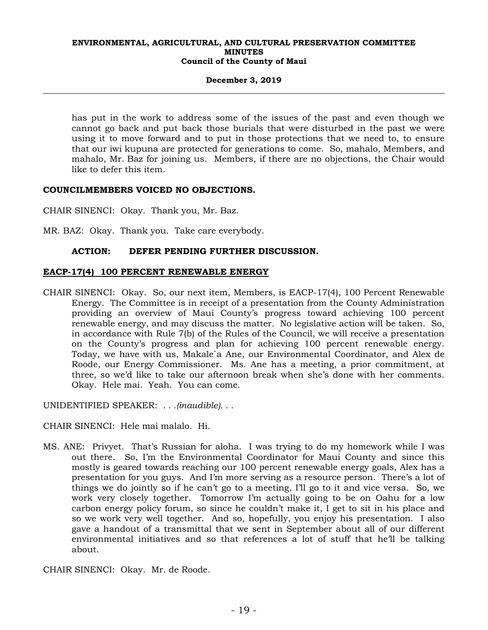## **December 3, 2019**

has put in the work to address some of the issues of the past and even though we cannot go back and put back those burials that were disturbed in the past we were using it to move forward and to put in those protections that we need to, to ensure that our iwi kupuna are protected for generations to come. So, mahalo, Members, and mahalo, Mr. Baz for joining us. Members, if there are no objections, the Chair would like to defer this item.

# **COUNCILMEMBERS VOICED NO OBJECTIONS.**

CHAIR SINENCI: Okay. Thank you, Mr. Baz.

MR. BAZ: Okay. Thank you. Take care everybody.

# **ACTION: DEFER PENDING FURTHER DISCUSSION.**

# **EACP-17(4) 100 PERCENT RENEWABLE ENERGY**

CHAIR SINENCI: Okay. So, our next item, Members, is EACP-17(4), 100 Percent Renewable Energy. The Committee is in receipt of a presentation from the County Administration providing an overview of Maui County's progress toward achieving 100 percent renewable energy, and may discuss the matter. No legislative action will be taken. So, in accordance with Rule 7(b) of the Rules of the Council, we will receive a presentation on the County's progress and plan for achieving 100 percent renewable energy. Today, we have with us, Makale`a Ane, our Environmental Coordinator, and Alex de Roode, our Energy Commissioner. Ms. Ane has a meeting, a prior commitment, at three, so we'd like to take our afternoon break when she's done with her comments. Okay. Hele mai. Yeah. You can come.

UNIDENTIFIED SPEAKER: *. . .(inaudible). . .* 

CHAIR SINENCI: Hele mai malalo. Hi.

MS. ANE: Privyet. That's Russian for aloha. I was trying to do my homework while I was out there. So, I'm the Environmental Coordinator for Maui County and since this mostly is geared towards reaching our 100 percent renewable energy goals, Alex has a presentation for you guys. And I'm more serving as a resource person. There's a lot of things we do jointly so if he can't go to a meeting, I'll go to it and vice versa. So, we work very closely together. Tomorrow I'm actually going to be on Oahu for a low carbon energy policy forum, so since he couldn't make it, I get to sit in his place and so we work very well together. And so, hopefully, you enjoy his presentation. I also gave a handout of a transmittal that we sent in September about all of our different environmental initiatives and so that references a lot of stuff that he'll be talking about.

CHAIR SINENCI: Okay. Mr. de Roode.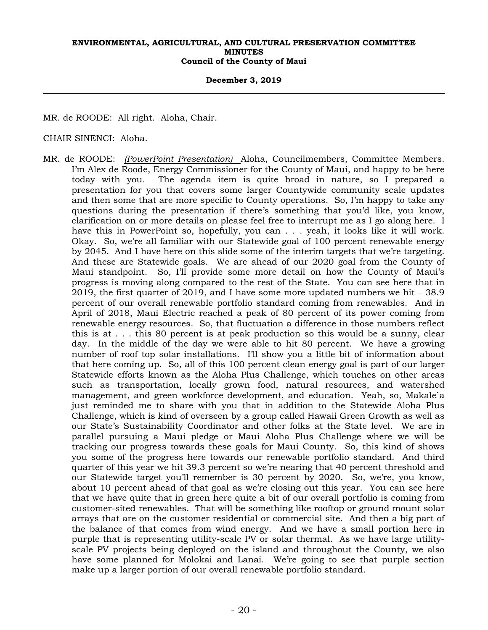#### **December 3, 2019**

MR. de ROODE: All right. Aloha, Chair.

CHAIR SINENCI: Aloha.

MR. de ROODE: *(PowerPoint Presentation)* Aloha, Councilmembers, Committee Members. I'm Alex de Roode, Energy Commissioner for the County of Maui, and happy to be here today with you. The agenda item is quite broad in nature, so I prepared a presentation for you that covers some larger Countywide community scale updates and then some that are more specific to County operations. So, I'm happy to take any questions during the presentation if there's something that you'd like, you know, clarification on or more details on please feel free to interrupt me as I go along here. I have this in PowerPoint so, hopefully, you can . . . yeah, it looks like it will work. Okay. So, we're all familiar with our Statewide goal of 100 percent renewable energy by 2045. And I have here on this slide some of the interim targets that we're targeting. And these are Statewide goals. We are ahead of our 2020 goal from the County of Maui standpoint. So, I'll provide some more detail on how the County of Maui's progress is moving along compared to the rest of the State. You can see here that in 2019, the first quarter of 2019, and I have some more updated numbers we hit – 38.9 percent of our overall renewable portfolio standard coming from renewables. And in April of 2018, Maui Electric reached a peak of 80 percent of its power coming from renewable energy resources. So, that fluctuation a difference in those numbers reflect this is at . . . this 80 percent is at peak production so this would be a sunny, clear day. In the middle of the day we were able to hit 80 percent. We have a growing number of roof top solar installations. I'll show you a little bit of information about that here coming up. So, all of this 100 percent clean energy goal is part of our larger Statewide efforts known as the Aloha Plus Challenge, which touches on other areas such as transportation, locally grown food, natural resources, and watershed management, and green workforce development, and education. Yeah, so, Makale`a just reminded me to share with you that in addition to the Statewide Aloha Plus Challenge, which is kind of overseen by a group called Hawaii Green Growth as well as our State's Sustainability Coordinator and other folks at the State level. We are in parallel pursuing a Maui pledge or Maui Aloha Plus Challenge where we will be tracking our progress towards these goals for Maui County. So, this kind of shows you some of the progress here towards our renewable portfolio standard. And third quarter of this year we hit 39.3 percent so we're nearing that 40 percent threshold and our Statewide target you'll remember is 30 percent by 2020. So, we're, you know, about 10 percent ahead of that goal as we're closing out this year. You can see here that we have quite that in green here quite a bit of our overall portfolio is coming from customer-sited renewables. That will be something like rooftop or ground mount solar arrays that are on the customer residential or commercial site. And then a big part of the balance of that comes from wind energy. And we have a small portion here in purple that is representing utility-scale PV or solar thermal. As we have large utilityscale PV projects being deployed on the island and throughout the County, we also have some planned for Molokai and Lanai. We're going to see that purple section make up a larger portion of our overall renewable portfolio standard.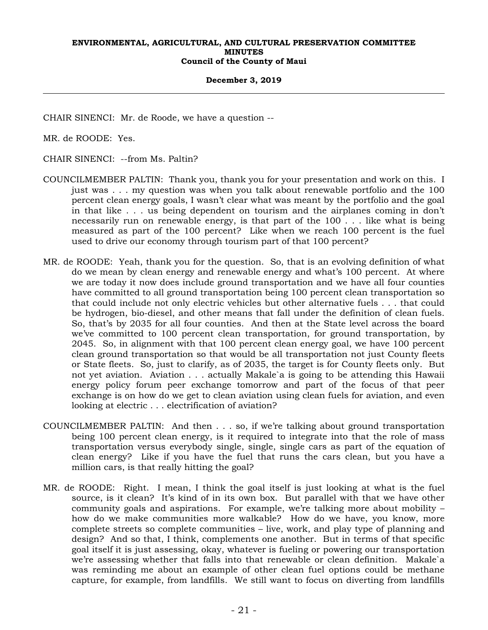#### **December 3, 2019**

CHAIR SINENCI: Mr. de Roode, we have a question --

MR. de ROODE: Yes.

CHAIR SINENCI: --from Ms. Paltin?

- COUNCILMEMBER PALTIN: Thank you, thank you for your presentation and work on this. I just was . . . my question was when you talk about renewable portfolio and the 100 percent clean energy goals, I wasn't clear what was meant by the portfolio and the goal in that like . . . us being dependent on tourism and the airplanes coming in don't necessarily run on renewable energy, is that part of the 100 . . . like what is being measured as part of the 100 percent? Like when we reach 100 percent is the fuel used to drive our economy through tourism part of that 100 percent?
- MR. de ROODE: Yeah, thank you for the question. So, that is an evolving definition of what do we mean by clean energy and renewable energy and what's 100 percent. At where we are today it now does include ground transportation and we have all four counties have committed to all ground transportation being 100 percent clean transportation so that could include not only electric vehicles but other alternative fuels . . . that could be hydrogen, bio-diesel, and other means that fall under the definition of clean fuels. So, that's by 2035 for all four counties. And then at the State level across the board we've committed to 100 percent clean transportation, for ground transportation, by 2045. So, in alignment with that 100 percent clean energy goal, we have 100 percent clean ground transportation so that would be all transportation not just County fleets or State fleets. So, just to clarify, as of 2035, the target is for County fleets only. But not yet aviation. Aviation . . . actually Makale`a is going to be attending this Hawaii energy policy forum peer exchange tomorrow and part of the focus of that peer exchange is on how do we get to clean aviation using clean fuels for aviation, and even looking at electric . . . electrification of aviation?
- COUNCILMEMBER PALTIN: And then . . . so, if we're talking about ground transportation being 100 percent clean energy, is it required to integrate into that the role of mass transportation versus everybody single, single, single cars as part of the equation of clean energy? Like if you have the fuel that runs the cars clean, but you have a million cars, is that really hitting the goal?
- MR. de ROODE: Right. I mean, I think the goal itself is just looking at what is the fuel source, is it clean? It's kind of in its own box. But parallel with that we have other community goals and aspirations. For example, we're talking more about mobility – how do we make communities more walkable? How do we have, you know, more complete streets so complete communities – live, work, and play type of planning and design? And so that, I think, complements one another. But in terms of that specific goal itself it is just assessing, okay, whatever is fueling or powering our transportation we're assessing whether that falls into that renewable or clean definition. Makale`a was reminding me about an example of other clean fuel options could be methane capture, for example, from landfills. We still want to focus on diverting from landfills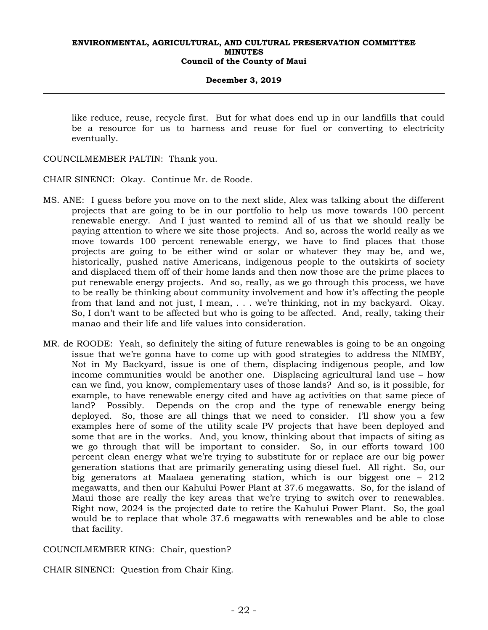## **December 3, 2019**

like reduce, reuse, recycle first. But for what does end up in our landfills that could be a resource for us to harness and reuse for fuel or converting to electricity eventually.

COUNCILMEMBER PALTIN: Thank you.

CHAIR SINENCI: Okay. Continue Mr. de Roode.

- MS. ANE: I guess before you move on to the next slide, Alex was talking about the different projects that are going to be in our portfolio to help us move towards 100 percent renewable energy. And I just wanted to remind all of us that we should really be paying attention to where we site those projects. And so, across the world really as we move towards 100 percent renewable energy, we have to find places that those projects are going to be either wind or solar or whatever they may be, and we, historically, pushed native Americans, indigenous people to the outskirts of society and displaced them off of their home lands and then now those are the prime places to put renewable energy projects. And so, really, as we go through this process, we have to be really be thinking about community involvement and how it's affecting the people from that land and not just, I mean, . . . we're thinking, not in my backyard. Okay. So, I don't want to be affected but who is going to be affected. And, really, taking their manao and their life and life values into consideration.
- MR. de ROODE: Yeah, so definitely the siting of future renewables is going to be an ongoing issue that we're gonna have to come up with good strategies to address the NIMBY, Not in My Backyard, issue is one of them, displacing indigenous people, and low income communities would be another one. Displacing agricultural land use – how can we find, you know, complementary uses of those lands? And so, is it possible, for example, to have renewable energy cited and have ag activities on that same piece of land? Possibly. Depends on the crop and the type of renewable energy being deployed. So, those are all things that we need to consider. I'll show you a few examples here of some of the utility scale PV projects that have been deployed and some that are in the works. And, you know, thinking about that impacts of siting as we go through that will be important to consider. So, in our efforts toward 100 percent clean energy what we're trying to substitute for or replace are our big power generation stations that are primarily generating using diesel fuel. All right. So, our big generators at Maalaea generating station, which is our biggest one – 212 megawatts, and then our Kahului Power Plant at 37.6 megawatts. So, for the island of Maui those are really the key areas that we're trying to switch over to renewables. Right now, 2024 is the projected date to retire the Kahului Power Plant. So, the goal would be to replace that whole 37.6 megawatts with renewables and be able to close that facility.

COUNCILMEMBER KING: Chair, question?

CHAIR SINENCI: Question from Chair King.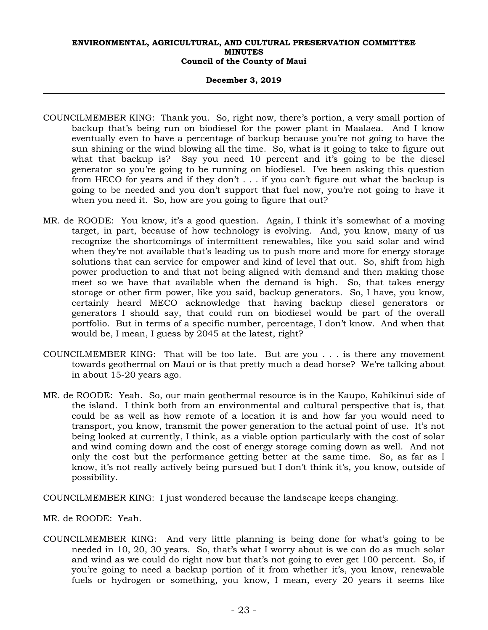#### **December 3, 2019**

- COUNCILMEMBER KING: Thank you. So, right now, there's portion, a very small portion of backup that's being run on biodiesel for the power plant in Maalaea. And I know eventually even to have a percentage of backup because you're not going to have the sun shining or the wind blowing all the time. So, what is it going to take to figure out what that backup is? Say you need 10 percent and it's going to be the diesel generator so you're going to be running on biodiesel. I've been asking this question from HECO for years and if they don't . . . if you can't figure out what the backup is going to be needed and you don't support that fuel now, you're not going to have it when you need it. So, how are you going to figure that out?
- MR. de ROODE: You know, it's a good question. Again, I think it's somewhat of a moving target, in part, because of how technology is evolving. And, you know, many of us recognize the shortcomings of intermittent renewables, like you said solar and wind when they're not available that's leading us to push more and more for energy storage solutions that can service for empower and kind of level that out. So, shift from high power production to and that not being aligned with demand and then making those meet so we have that available when the demand is high. So, that takes energy storage or other firm power, like you said, backup generators. So, I have, you know, certainly heard MECO acknowledge that having backup diesel generators or generators I should say, that could run on biodiesel would be part of the overall portfolio. But in terms of a specific number, percentage, I don't know. And when that would be, I mean, I guess by 2045 at the latest, right?
- COUNCILMEMBER KING: That will be too late. But are you . . . is there any movement towards geothermal on Maui or is that pretty much a dead horse? We're talking about in about 15-20 years ago.
- MR. de ROODE: Yeah. So, our main geothermal resource is in the Kaupo, Kahikinui side of the island. I think both from an environmental and cultural perspective that is, that could be as well as how remote of a location it is and how far you would need to transport, you know, transmit the power generation to the actual point of use. It's not being looked at currently, I think, as a viable option particularly with the cost of solar and wind coming down and the cost of energy storage coming down as well. And not only the cost but the performance getting better at the same time. So, as far as I know, it's not really actively being pursued but I don't think it's, you know, outside of possibility.

COUNCILMEMBER KING: I just wondered because the landscape keeps changing.

MR. de ROODE: Yeah.

COUNCILMEMBER KING: And very little planning is being done for what's going to be needed in 10, 20, 30 years. So, that's what I worry about is we can do as much solar and wind as we could do right now but that's not going to ever get 100 percent. So, if you're going to need a backup portion of it from whether it's, you know, renewable fuels or hydrogen or something, you know, I mean, every 20 years it seems like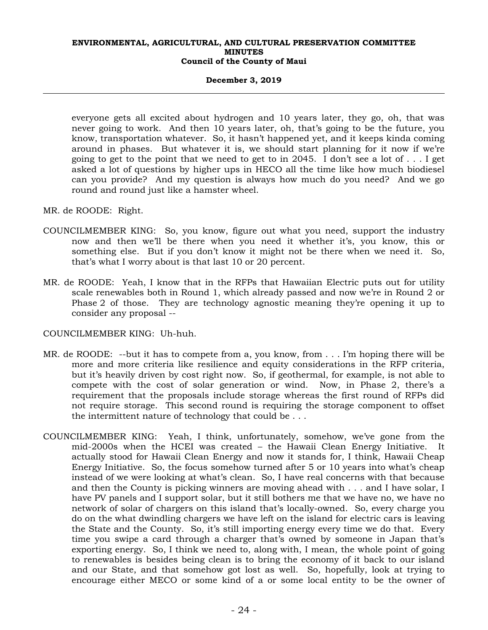#### **December 3, 2019**

everyone gets all excited about hydrogen and 10 years later, they go, oh, that was never going to work. And then 10 years later, oh, that's going to be the future, you know, transportation whatever. So, it hasn't happened yet, and it keeps kinda coming around in phases. But whatever it is, we should start planning for it now if we're going to get to the point that we need to get to in 2045. I don't see a lot of . . . I get asked a lot of questions by higher ups in HECO all the time like how much biodiesel can you provide? And my question is always how much do you need? And we go round and round just like a hamster wheel.

#### MR. de ROODE: Right.

- COUNCILMEMBER KING: So, you know, figure out what you need, support the industry now and then we'll be there when you need it whether it's, you know, this or something else. But if you don't know it might not be there when we need it. So, that's what I worry about is that last 10 or 20 percent.
- MR. de ROODE: Yeah, I know that in the RFPs that Hawaiian Electric puts out for utility scale renewables both in Round 1, which already passed and now we're in Round 2 or Phase 2 of those. They are technology agnostic meaning they're opening it up to consider any proposal --

## COUNCILMEMBER KING: Uh-huh.

- MR. de ROODE: --but it has to compete from a, you know, from . . . I'm hoping there will be more and more criteria like resilience and equity considerations in the RFP criteria, but it's heavily driven by cost right now. So, if geothermal, for example, is not able to compete with the cost of solar generation or wind. Now, in Phase 2, there's a requirement that the proposals include storage whereas the first round of RFPs did not require storage. This second round is requiring the storage component to offset the intermittent nature of technology that could be . . .
- COUNCILMEMBER KING: Yeah, I think, unfortunately, somehow, we've gone from the  $mid-2000s$  when the HCEI was created  $-$  the Hawaii Clean Energy Initiative. actually stood for Hawaii Clean Energy and now it stands for, I think, Hawaii Cheap Energy Initiative. So, the focus somehow turned after 5 or 10 years into what's cheap instead of we were looking at what's clean. So, I have real concerns with that because and then the County is picking winners are moving ahead with . . . and I have solar, I have PV panels and I support solar, but it still bothers me that we have no, we have no network of solar of chargers on this island that's locally-owned. So, every charge you do on the what dwindling chargers we have left on the island for electric cars is leaving the State and the County. So, it's still importing energy every time we do that. Every time you swipe a card through a charger that's owned by someone in Japan that's exporting energy. So, I think we need to, along with, I mean, the whole point of going to renewables is besides being clean is to bring the economy of it back to our island and our State, and that somehow got lost as well. So, hopefully, look at trying to encourage either MECO or some kind of a or some local entity to be the owner of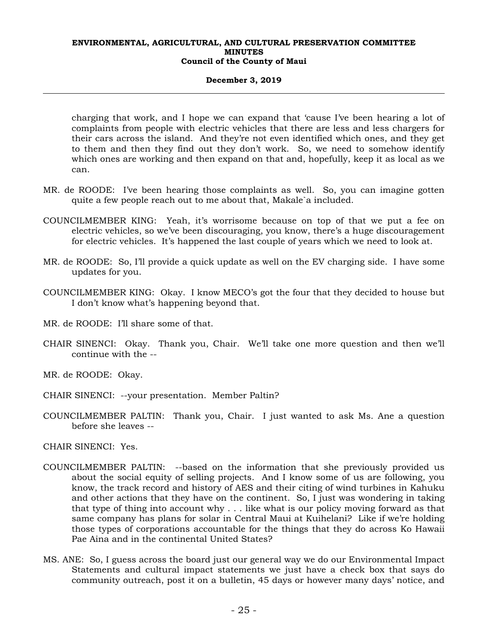#### **December 3, 2019**

charging that work, and I hope we can expand that 'cause I've been hearing a lot of complaints from people with electric vehicles that there are less and less chargers for their cars across the island. And they're not even identified which ones, and they get to them and then they find out they don't work. So, we need to somehow identify which ones are working and then expand on that and, hopefully, keep it as local as we can.

- MR. de ROODE: I've been hearing those complaints as well. So, you can imagine gotten quite a few people reach out to me about that, Makale`a included.
- COUNCILMEMBER KING: Yeah, it's worrisome because on top of that we put a fee on electric vehicles, so we've been discouraging, you know, there's a huge discouragement for electric vehicles. It's happened the last couple of years which we need to look at.
- MR. de ROODE: So, I'll provide a quick update as well on the EV charging side. I have some updates for you.
- COUNCILMEMBER KING: Okay. I know MECO's got the four that they decided to house but I don't know what's happening beyond that.
- MR. de ROODE: I'll share some of that.
- CHAIR SINENCI: Okay. Thank you, Chair. We'll take one more question and then we'll continue with the --
- MR. de ROODE: Okay.
- CHAIR SINENCI: --your presentation. Member Paltin?
- COUNCILMEMBER PALTIN: Thank you, Chair. I just wanted to ask Ms. Ane a question before she leaves --

CHAIR SINENCI: Yes.

- COUNCILMEMBER PALTIN: --based on the information that she previously provided us about the social equity of selling projects. And I know some of us are following, you know, the track record and history of AES and their citing of wind turbines in Kahuku and other actions that they have on the continent. So, I just was wondering in taking that type of thing into account why . . . like what is our policy moving forward as that same company has plans for solar in Central Maui at Kuihelani? Like if we're holding those types of corporations accountable for the things that they do across Ko Hawaii Pae Aina and in the continental United States?
- MS. ANE: So, I guess across the board just our general way we do our Environmental Impact Statements and cultural impact statements we just have a check box that says do community outreach, post it on a bulletin, 45 days or however many days' notice, and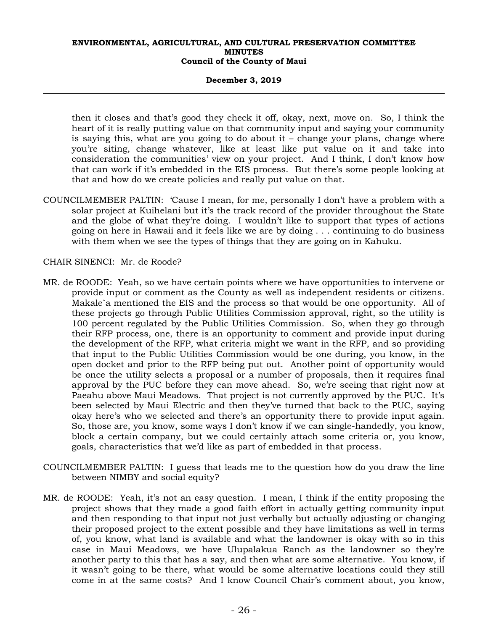## **December 3, 2019**

then it closes and that's good they check it off, okay, next, move on. So, I think the heart of it is really putting value on that community input and saying your community is saying this, what are you going to do about it – change your plans, change where you're siting, change whatever, like at least like put value on it and take into consideration the communities' view on your project. And I think, I don't know how that can work if it's embedded in the EIS process. But there's some people looking at that and how do we create policies and really put value on that.

COUNCILMEMBER PALTIN: 'Cause I mean, for me, personally I don't have a problem with a solar project at Kuihelani but it's the track record of the provider throughout the State and the globe of what they're doing. I wouldn't like to support that types of actions going on here in Hawaii and it feels like we are by doing . . . continuing to do business with them when we see the types of things that they are going on in Kahuku.

CHAIR SINENCI: Mr. de Roode?

- MR. de ROODE: Yeah, so we have certain points where we have opportunities to intervene or provide input or comment as the County as well as independent residents or citizens. Makale`a mentioned the EIS and the process so that would be one opportunity. All of these projects go through Public Utilities Commission approval, right, so the utility is 100 percent regulated by the Public Utilities Commission. So, when they go through their RFP process, one, there is an opportunity to comment and provide input during the development of the RFP, what criteria might we want in the RFP, and so providing that input to the Public Utilities Commission would be one during, you know, in the open docket and prior to the RFP being put out. Another point of opportunity would be once the utility selects a proposal or a number of proposals, then it requires final approval by the PUC before they can move ahead. So, we're seeing that right now at Paeahu above Maui Meadows. That project is not currently approved by the PUC. It's been selected by Maui Electric and then they've turned that back to the PUC, saying okay here's who we selected and there's an opportunity there to provide input again. So, those are, you know, some ways I don't know if we can single-handedly, you know, block a certain company, but we could certainly attach some criteria or, you know, goals, characteristics that we'd like as part of embedded in that process.
- COUNCILMEMBER PALTIN: I guess that leads me to the question how do you draw the line between NIMBY and social equity?
- MR. de ROODE: Yeah, it's not an easy question. I mean, I think if the entity proposing the project shows that they made a good faith effort in actually getting community input and then responding to that input not just verbally but actually adjusting or changing their proposed project to the extent possible and they have limitations as well in terms of, you know, what land is available and what the landowner is okay with so in this case in Maui Meadows, we have Ulupalakua Ranch as the landowner so they're another party to this that has a say, and then what are some alternative. You know, if it wasn't going to be there, what would be some alternative locations could they still come in at the same costs? And I know Council Chair's comment about, you know,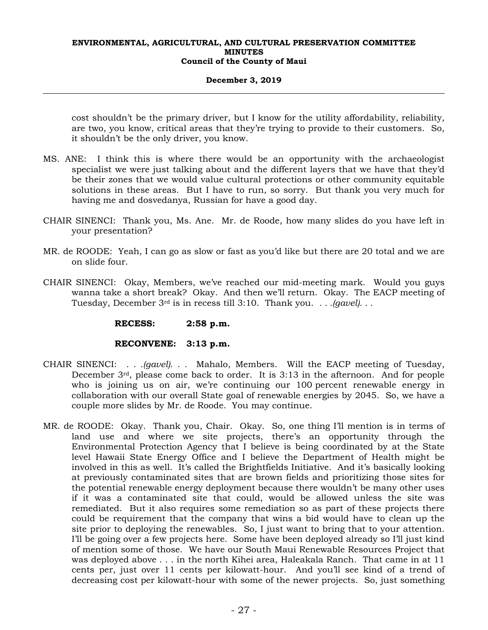## **December 3, 2019**

cost shouldn't be the primary driver, but I know for the utility affordability, reliability, are two, you know, critical areas that they're trying to provide to their customers. So, it shouldn't be the only driver, you know.

- MS. ANE: I think this is where there would be an opportunity with the archaeologist specialist we were just talking about and the different layers that we have that they'd be their zones that we would value cultural protections or other community equitable solutions in these areas. But I have to run, so sorry. But thank you very much for having me and dosvedanya, Russian for have a good day.
- CHAIR SINENCI: Thank you, Ms. Ane. Mr. de Roode, how many slides do you have left in your presentation?
- MR. de ROODE: Yeah, I can go as slow or fast as you'd like but there are 20 total and we are on slide four.
- CHAIR SINENCI: Okay, Members, we've reached our mid-meeting mark. Would you guys wanna take a short break? Okay. And then we'll return. Okay. The EACP meeting of Tuesday, December 3rd is in recess till 3:10. Thank you. *. . .(gavel). . .*

 **RECESS: 2:58 p.m.** 

# **RECONVENE: 3:13 p.m.**

- CHAIR SINENCI: *. . .(gavel). . .* Mahalo, Members. Will the EACP meeting of Tuesday, December 3rd, please come back to order. It is 3:13 in the afternoon. And for people who is joining us on air, we're continuing our 100 percent renewable energy in collaboration with our overall State goal of renewable energies by 2045. So, we have a couple more slides by Mr. de Roode. You may continue.
- MR. de ROODE: Okay. Thank you, Chair. Okay. So, one thing I'll mention is in terms of land use and where we site projects, there's an opportunity through the Environmental Protection Agency that I believe is being coordinated by at the State level Hawaii State Energy Office and I believe the Department of Health might be involved in this as well. It's called the Brightfields Initiative. And it's basically looking at previously contaminated sites that are brown fields and prioritizing those sites for the potential renewable energy deployment because there wouldn't be many other uses if it was a contaminated site that could, would be allowed unless the site was remediated. But it also requires some remediation so as part of these projects there could be requirement that the company that wins a bid would have to clean up the site prior to deploying the renewables. So, I just want to bring that to your attention. I'll be going over a few projects here. Some have been deployed already so I'll just kind of mention some of those. We have our South Maui Renewable Resources Project that was deployed above . . . in the north Kihei area, Haleakala Ranch. That came in at 11 cents per, just over 11 cents per kilowatt-hour. And you'll see kind of a trend of decreasing cost per kilowatt-hour with some of the newer projects. So, just something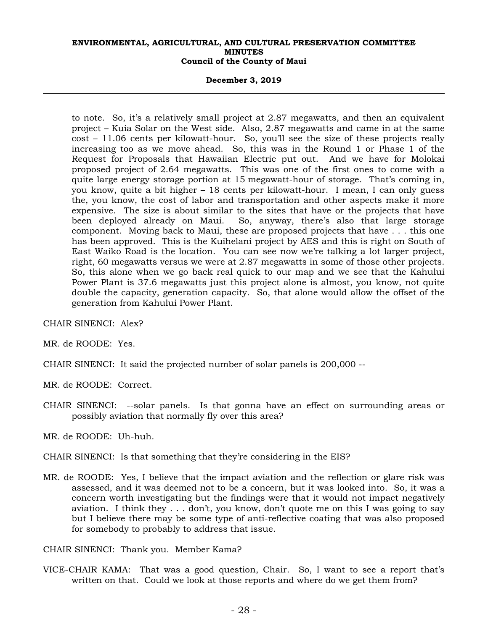#### **December 3, 2019**

to note. So, it's a relatively small project at 2.87 megawatts, and then an equivalent project – Kuia Solar on the West side. Also, 2.87 megawatts and came in at the same cost – 11.06 cents per kilowatt-hour. So, you'll see the size of these projects really increasing too as we move ahead. So, this was in the Round 1 or Phase 1 of the Request for Proposals that Hawaiian Electric put out. And we have for Molokai proposed project of 2.64 megawatts. This was one of the first ones to come with a quite large energy storage portion at 15 megawatt-hour of storage. That's coming in, you know, quite a bit higher – 18 cents per kilowatt-hour. I mean, I can only guess the, you know, the cost of labor and transportation and other aspects make it more expensive. The size is about similar to the sites that have or the projects that have been deployed already on Maui. So, anyway, there's also that large storage component. Moving back to Maui, these are proposed projects that have . . . this one has been approved. This is the Kuihelani project by AES and this is right on South of East Waiko Road is the location. You can see now we're talking a lot larger project, right, 60 megawatts versus we were at 2.87 megawatts in some of those other projects. So, this alone when we go back real quick to our map and we see that the Kahului Power Plant is 37.6 megawatts just this project alone is almost, you know, not quite double the capacity, generation capacity. So, that alone would allow the offset of the generation from Kahului Power Plant.

CHAIR SINENCI: Alex?

MR. de ROODE: Yes.

CHAIR SINENCI: It said the projected number of solar panels is 200,000 --

MR. de ROODE: Correct.

CHAIR SINENCI: --solar panels. Is that gonna have an effect on surrounding areas or possibly aviation that normally fly over this area?

MR. de ROODE: Uh-huh.

CHAIR SINENCI: Is that something that they're considering in the EIS?

MR. de ROODE: Yes, I believe that the impact aviation and the reflection or glare risk was assessed, and it was deemed not to be a concern, but it was looked into. So, it was a concern worth investigating but the findings were that it would not impact negatively aviation. I think they . . . don't, you know, don't quote me on this I was going to say but I believe there may be some type of anti-reflective coating that was also proposed for somebody to probably to address that issue.

CHAIR SINENCI: Thank you. Member Kama?

VICE-CHAIR KAMA: That was a good question, Chair. So, I want to see a report that's written on that. Could we look at those reports and where do we get them from?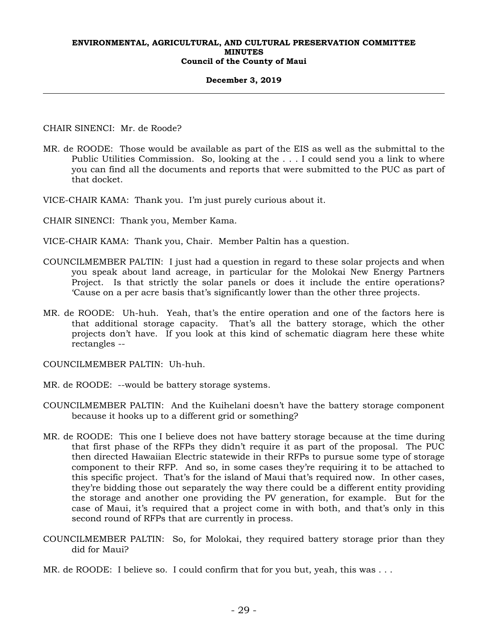#### **December 3, 2019**

CHAIR SINENCI: Mr. de Roode?

- MR. de ROODE: Those would be available as part of the EIS as well as the submittal to the Public Utilities Commission. So, looking at the . . . I could send you a link to where you can find all the documents and reports that were submitted to the PUC as part of that docket.
- VICE-CHAIR KAMA: Thank you. I'm just purely curious about it.
- CHAIR SINENCI: Thank you, Member Kama.
- VICE-CHAIR KAMA: Thank you, Chair. Member Paltin has a question.
- COUNCILMEMBER PALTIN: I just had a question in regard to these solar projects and when you speak about land acreage, in particular for the Molokai New Energy Partners Project. Is that strictly the solar panels or does it include the entire operations? 'Cause on a per acre basis that's significantly lower than the other three projects.
- MR. de ROODE: Uh-huh. Yeah, that's the entire operation and one of the factors here is that additional storage capacity. That's all the battery storage, which the other projects don't have. If you look at this kind of schematic diagram here these white rectangles --

COUNCILMEMBER PALTIN: Uh-huh.

- MR. de ROODE: --would be battery storage systems.
- COUNCILMEMBER PALTIN: And the Kuihelani doesn't have the battery storage component because it hooks up to a different grid or something?
- MR. de ROODE: This one I believe does not have battery storage because at the time during that first phase of the RFPs they didn't require it as part of the proposal. The PUC then directed Hawaiian Electric statewide in their RFPs to pursue some type of storage component to their RFP. And so, in some cases they're requiring it to be attached to this specific project. That's for the island of Maui that's required now. In other cases, they're bidding those out separately the way there could be a different entity providing the storage and another one providing the PV generation, for example. But for the case of Maui, it's required that a project come in with both, and that's only in this second round of RFPs that are currently in process.
- COUNCILMEMBER PALTIN: So, for Molokai, they required battery storage prior than they did for Maui?
- MR. de ROODE: I believe so. I could confirm that for you but, yeah, this was . . .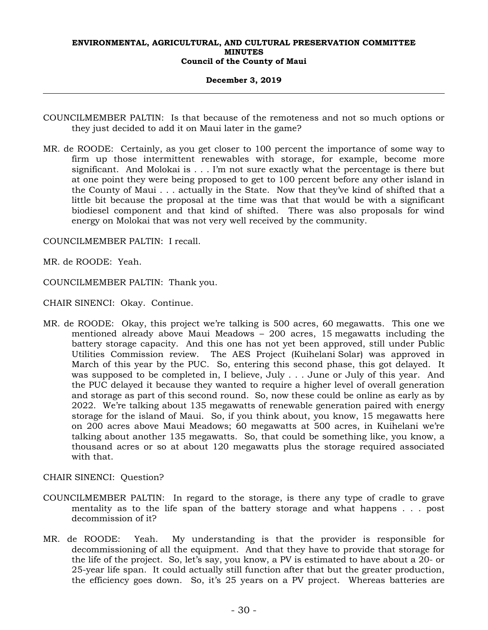#### **December 3, 2019**

- COUNCILMEMBER PALTIN: Is that because of the remoteness and not so much options or they just decided to add it on Maui later in the game?
- MR. de ROODE: Certainly, as you get closer to 100 percent the importance of some way to firm up those intermittent renewables with storage, for example, become more significant. And Molokai is . . . I'm not sure exactly what the percentage is there but at one point they were being proposed to get to 100 percent before any other island in the County of Maui . . . actually in the State. Now that they've kind of shifted that a little bit because the proposal at the time was that that would be with a significant biodiesel component and that kind of shifted. There was also proposals for wind energy on Molokai that was not very well received by the community.

COUNCILMEMBER PALTIN: I recall.

MR. de ROODE: Yeah.

COUNCILMEMBER PALTIN: Thank you.

CHAIR SINENCI: Okay. Continue.

MR. de ROODE: Okay, this project we're talking is 500 acres, 60 megawatts. This one we mentioned already above Maui Meadows – 200 acres, 15 megawatts including the battery storage capacity. And this one has not yet been approved, still under Public Utilities Commission review. The AES Project (Kuihelani Solar) was approved in March of this year by the PUC. So, entering this second phase, this got delayed. It was supposed to be completed in, I believe, July . . . June or July of this year. And the PUC delayed it because they wanted to require a higher level of overall generation and storage as part of this second round. So, now these could be online as early as by 2022. We're talking about 135 megawatts of renewable generation paired with energy storage for the island of Maui. So, if you think about, you know, 15 megawatts here on 200 acres above Maui Meadows; 60 megawatts at 500 acres, in Kuihelani we're talking about another 135 megawatts. So, that could be something like, you know, a thousand acres or so at about 120 megawatts plus the storage required associated with that.

CHAIR SINENCI: Question?

- COUNCILMEMBER PALTIN: In regard to the storage, is there any type of cradle to grave mentality as to the life span of the battery storage and what happens . . . post decommission of it?
- MR. de ROODE: Yeah. My understanding is that the provider is responsible for decommissioning of all the equipment. And that they have to provide that storage for the life of the project. So, let's say, you know, a PV is estimated to have about a 20- or 25-year life span. It could actually still function after that but the greater production, the efficiency goes down. So, it's 25 years on a PV project. Whereas batteries are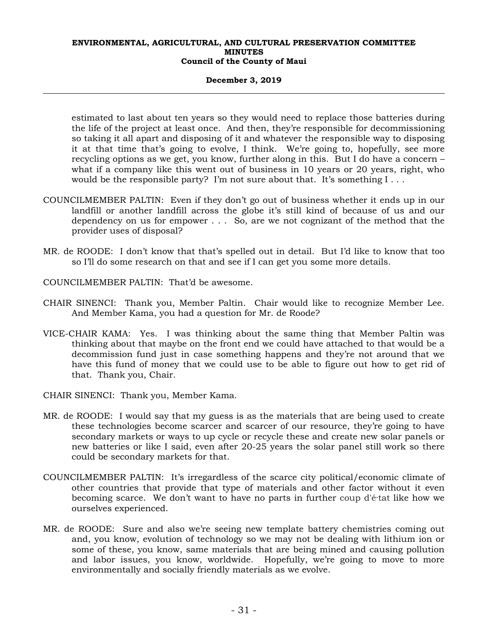## **December 3, 2019**

estimated to last about ten years so they would need to replace those batteries during the life of the project at least once. And then, they're responsible for decommissioning so taking it all apart and disposing of it and whatever the responsible way to disposing it at that time that's going to evolve, I think. We're going to, hopefully, see more recycling options as we get, you know, further along in this. But I do have a concern – what if a company like this went out of business in 10 years or 20 years, right, who would be the responsible party? I'm not sure about that. It's something  $I \ldots$ 

- COUNCILMEMBER PALTIN: Even if they don't go out of business whether it ends up in our landfill or another landfill across the globe it's still kind of because of us and our dependency on us for empower . . . So, are we not cognizant of the method that the provider uses of disposal?
- MR. de ROODE: I don't know that that's spelled out in detail. But I'd like to know that too so I'll do some research on that and see if I can get you some more details.
- COUNCILMEMBER PALTIN: That'd be awesome.
- CHAIR SINENCI: Thank you, Member Paltin. Chair would like to recognize Member Lee. And Member Kama, you had a question for Mr. de Roode?
- VICE-CHAIR KAMA: Yes. I was thinking about the same thing that Member Paltin was thinking about that maybe on the front end we could have attached to that would be a decommission fund just in case something happens and they're not around that we have this fund of money that we could use to be able to figure out how to get rid of that. Thank you, Chair.

CHAIR SINENCI: Thank you, Member Kama.

- MR. de ROODE: I would say that my guess is as the materials that are being used to create these technologies become scarcer and scarcer of our resource, they're going to have secondary markets or ways to up cycle or recycle these and create new solar panels or new batteries or like I said, even after 20-25 years the solar panel still work so there could be secondary markets for that.
- COUNCILMEMBER PALTIN: It's irregardless of the scarce city political/economic climate of other countries that provide that type of materials and other factor without it even becoming scarce. We don't want to have no parts in further coup d'é·tat like how we ourselves experienced.
- MR. de ROODE: Sure and also we're seeing new template battery chemistries coming out and, you know, evolution of technology so we may not be dealing with lithium ion or some of these, you know, same materials that are being mined and causing pollution and labor issues, you know, worldwide. Hopefully, we're going to move to more environmentally and socially friendly materials as we evolve.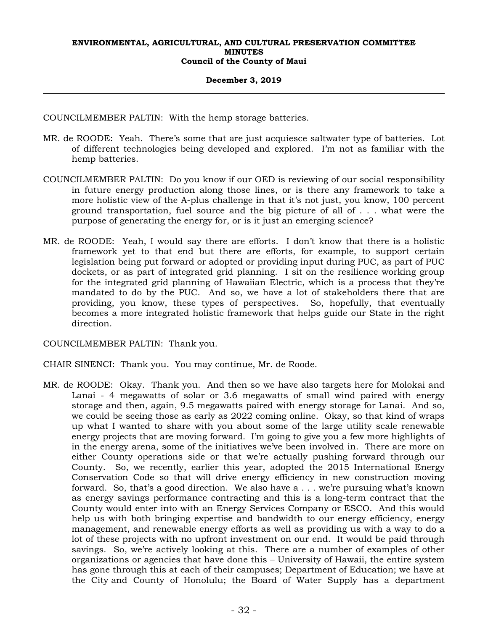## **December 3, 2019**

COUNCILMEMBER PALTIN: With the hemp storage batteries.

- MR. de ROODE: Yeah. There's some that are just acquiesce saltwater type of batteries. Lot of different technologies being developed and explored. I'm not as familiar with the hemp batteries.
- COUNCILMEMBER PALTIN: Do you know if our OED is reviewing of our social responsibility in future energy production along those lines, or is there any framework to take a more holistic view of the A-plus challenge in that it's not just, you know, 100 percent ground transportation, fuel source and the big picture of all of . . . what were the purpose of generating the energy for, or is it just an emerging science?
- MR. de ROODE: Yeah, I would say there are efforts. I don't know that there is a holistic framework yet to that end but there are efforts, for example, to support certain legislation being put forward or adopted or providing input during PUC, as part of PUC dockets, or as part of integrated grid planning. I sit on the resilience working group for the integrated grid planning of Hawaiian Electric, which is a process that they're mandated to do by the PUC. And so, we have a lot of stakeholders there that are providing, you know, these types of perspectives. So, hopefully, that eventually becomes a more integrated holistic framework that helps guide our State in the right direction.

COUNCILMEMBER PALTIN: Thank you.

CHAIR SINENCI: Thank you. You may continue, Mr. de Roode.

MR. de ROODE: Okay. Thank you. And then so we have also targets here for Molokai and Lanai - 4 megawatts of solar or 3.6 megawatts of small wind paired with energy storage and then, again, 9.5 megawatts paired with energy storage for Lanai. And so, we could be seeing those as early as 2022 coming online. Okay, so that kind of wraps up what I wanted to share with you about some of the large utility scale renewable energy projects that are moving forward. I'm going to give you a few more highlights of in the energy arena, some of the initiatives we've been involved in. There are more on either County operations side or that we're actually pushing forward through our County. So, we recently, earlier this year, adopted the 2015 International Energy Conservation Code so that will drive energy efficiency in new construction moving forward. So, that's a good direction. We also have a . . . we're pursuing what's known as energy savings performance contracting and this is a long-term contract that the County would enter into with an Energy Services Company or ESCO. And this would help us with both bringing expertise and bandwidth to our energy efficiency, energy management, and renewable energy efforts as well as providing us with a way to do a lot of these projects with no upfront investment on our end. It would be paid through savings. So, we're actively looking at this. There are a number of examples of other organizations or agencies that have done this – University of Hawaii, the entire system has gone through this at each of their campuses; Department of Education; we have at the City and County of Honolulu; the Board of Water Supply has a department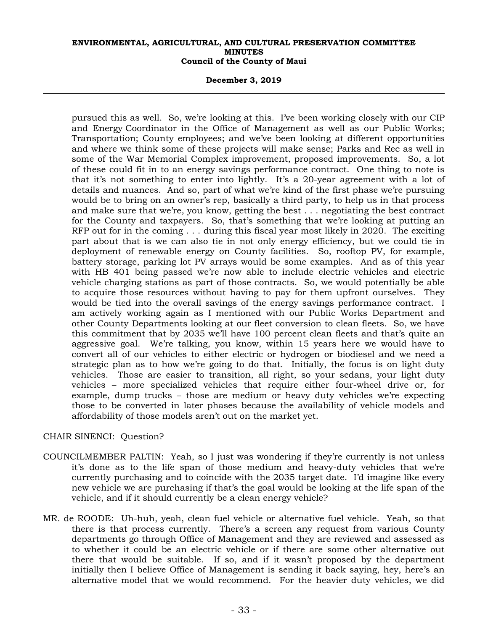#### **December 3, 2019**

pursued this as well. So, we're looking at this. I've been working closely with our CIP and Energy Coordinator in the Office of Management as well as our Public Works; Transportation; County employees; and we've been looking at different opportunities and where we think some of these projects will make sense; Parks and Rec as well in some of the War Memorial Complex improvement, proposed improvements. So, a lot of these could fit in to an energy savings performance contract. One thing to note is that it's not something to enter into lightly. It's a 20-year agreement with a lot of details and nuances. And so, part of what we're kind of the first phase we're pursuing would be to bring on an owner's rep, basically a third party, to help us in that process and make sure that we're, you know, getting the best . . . negotiating the best contract for the County and taxpayers. So, that's something that we're looking at putting an RFP out for in the coming . . . during this fiscal year most likely in 2020. The exciting part about that is we can also tie in not only energy efficiency, but we could tie in deployment of renewable energy on County facilities. So, rooftop PV, for example, battery storage, parking lot PV arrays would be some examples. And as of this year with HB 401 being passed we're now able to include electric vehicles and electric vehicle charging stations as part of those contracts. So, we would potentially be able to acquire those resources without having to pay for them upfront ourselves. They would be tied into the overall savings of the energy savings performance contract. I am actively working again as I mentioned with our Public Works Department and other County Departments looking at our fleet conversion to clean fleets. So, we have this commitment that by 2035 we'll have 100 percent clean fleets and that's quite an aggressive goal. We're talking, you know, within 15 years here we would have to convert all of our vehicles to either electric or hydrogen or biodiesel and we need a strategic plan as to how we're going to do that. Initially, the focus is on light duty vehicles. Those are easier to transition, all right, so your sedans, your light duty vehicles – more specialized vehicles that require either four-wheel drive or, for example, dump trucks – those are medium or heavy duty vehicles we're expecting those to be converted in later phases because the availability of vehicle models and affordability of those models aren't out on the market yet.

# CHAIR SINENCI: Question?

- COUNCILMEMBER PALTIN: Yeah, so I just was wondering if they're currently is not unless it's done as to the life span of those medium and heavy-duty vehicles that we're currently purchasing and to coincide with the 2035 target date. I'd imagine like every new vehicle we are purchasing if that's the goal would be looking at the life span of the vehicle, and if it should currently be a clean energy vehicle?
- MR. de ROODE: Uh-huh, yeah, clean fuel vehicle or alternative fuel vehicle. Yeah, so that there is that process currently. There's a screen any request from various County departments go through Office of Management and they are reviewed and assessed as to whether it could be an electric vehicle or if there are some other alternative out there that would be suitable. If so, and if it wasn't proposed by the department initially then I believe Office of Management is sending it back saying, hey, here's an alternative model that we would recommend. For the heavier duty vehicles, we did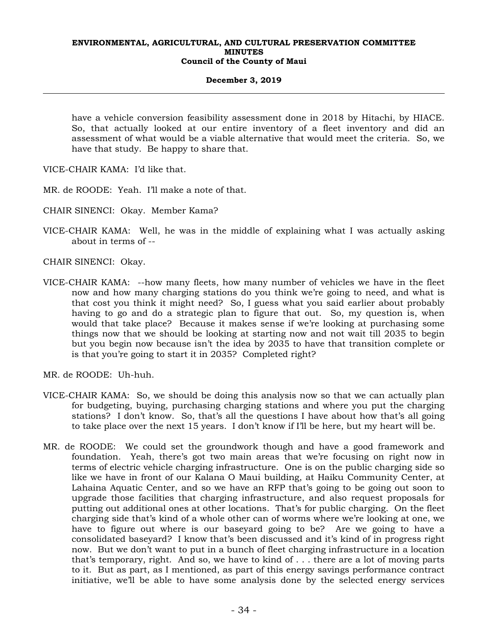## **December 3, 2019**

have a vehicle conversion feasibility assessment done in 2018 by Hitachi, by HIACE. So, that actually looked at our entire inventory of a fleet inventory and did an assessment of what would be a viable alternative that would meet the criteria. So, we have that study. Be happy to share that.

VICE-CHAIR KAMA: I'd like that.

MR. de ROODE: Yeah. I'll make a note of that.

CHAIR SINENCI: Okay. Member Kama?

VICE-CHAIR KAMA: Well, he was in the middle of explaining what I was actually asking about in terms of --

CHAIR SINENCI: Okay.

VICE-CHAIR KAMA: --how many fleets, how many number of vehicles we have in the fleet now and how many charging stations do you think we're going to need, and what is that cost you think it might need? So, I guess what you said earlier about probably having to go and do a strategic plan to figure that out. So, my question is, when would that take place? Because it makes sense if we're looking at purchasing some things now that we should be looking at starting now and not wait till 2035 to begin but you begin now because isn't the idea by 2035 to have that transition complete or is that you're going to start it in 2035? Completed right?

MR. de ROODE: Uh-huh.

- VICE-CHAIR KAMA: So, we should be doing this analysis now so that we can actually plan for budgeting, buying, purchasing charging stations and where you put the charging stations? I don't know. So, that's all the questions I have about how that's all going to take place over the next 15 years. I don't know if I'll be here, but my heart will be.
- MR. de ROODE: We could set the groundwork though and have a good framework and foundation. Yeah, there's got two main areas that we're focusing on right now in terms of electric vehicle charging infrastructure. One is on the public charging side so like we have in front of our Kalana O Maui building, at Haiku Community Center, at Lahaina Aquatic Center, and so we have an RFP that's going to be going out soon to upgrade those facilities that charging infrastructure, and also request proposals for putting out additional ones at other locations. That's for public charging. On the fleet charging side that's kind of a whole other can of worms where we're looking at one, we have to figure out where is our baseyard going to be? Are we going to have a consolidated baseyard? I know that's been discussed and it's kind of in progress right now. But we don't want to put in a bunch of fleet charging infrastructure in a location that's temporary, right. And so, we have to kind of . . . there are a lot of moving parts to it. But as part, as I mentioned, as part of this energy savings performance contract initiative, we'll be able to have some analysis done by the selected energy services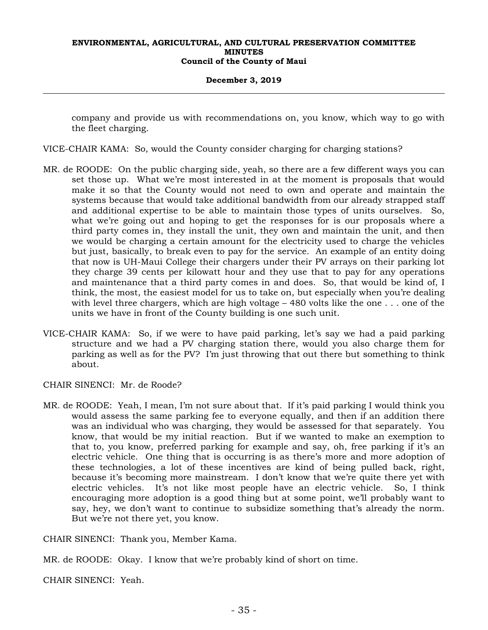#### **December 3, 2019**

company and provide us with recommendations on, you know, which way to go with the fleet charging.

- VICE-CHAIR KAMA: So, would the County consider charging for charging stations?
- MR. de ROODE: On the public charging side, yeah, so there are a few different ways you can set those up. What we're most interested in at the moment is proposals that would make it so that the County would not need to own and operate and maintain the systems because that would take additional bandwidth from our already strapped staff and additional expertise to be able to maintain those types of units ourselves. So, what we're going out and hoping to get the responses for is our proposals where a third party comes in, they install the unit, they own and maintain the unit, and then we would be charging a certain amount for the electricity used to charge the vehicles but just, basically, to break even to pay for the service. An example of an entity doing that now is UH-Maui College their chargers under their PV arrays on their parking lot they charge 39 cents per kilowatt hour and they use that to pay for any operations and maintenance that a third party comes in and does. So, that would be kind of, I think, the most, the easiest model for us to take on, but especially when you're dealing with level three chargers, which are high voltage  $-480$  volts like the one  $\dots$  one of the units we have in front of the County building is one such unit.
- VICE-CHAIR KAMA: So, if we were to have paid parking, let's say we had a paid parking structure and we had a PV charging station there, would you also charge them for parking as well as for the PV? I'm just throwing that out there but something to think about.
- CHAIR SINENCI: Mr. de Roode?
- MR. de ROODE: Yeah, I mean, I'm not sure about that. If it's paid parking I would think you would assess the same parking fee to everyone equally, and then if an addition there was an individual who was charging, they would be assessed for that separately. You know, that would be my initial reaction. But if we wanted to make an exemption to that to, you know, preferred parking for example and say, oh, free parking if it's an electric vehicle. One thing that is occurring is as there's more and more adoption of these technologies, a lot of these incentives are kind of being pulled back, right, because it's becoming more mainstream. I don't know that we're quite there yet with electric vehicles. It's not like most people have an electric vehicle. So, I think encouraging more adoption is a good thing but at some point, we'll probably want to say, hey, we don't want to continue to subsidize something that's already the norm. But we're not there yet, you know.

CHAIR SINENCI: Thank you, Member Kama.

MR. de ROODE: Okay. I know that we're probably kind of short on time.

CHAIR SINENCI: Yeah.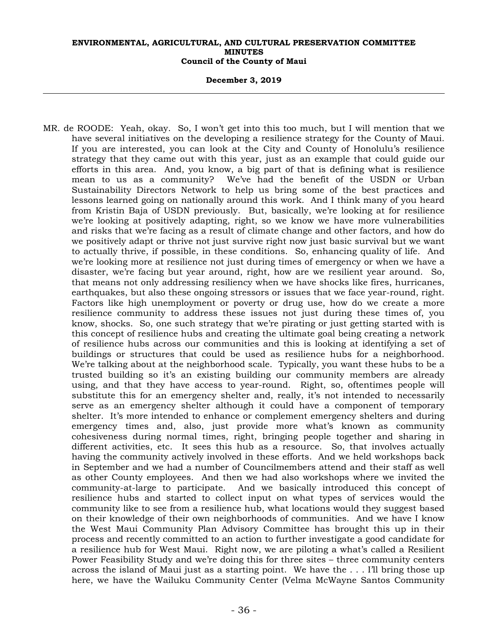**December 3, 2019** 

MR. de ROODE: Yeah, okay. So, I won't get into this too much, but I will mention that we have several initiatives on the developing a resilience strategy for the County of Maui. If you are interested, you can look at the City and County of Honolulu's resilience strategy that they came out with this year, just as an example that could guide our efforts in this area. And, you know, a big part of that is defining what is resilience mean to us as a community? We've had the benefit of the USDN or Urban Sustainability Directors Network to help us bring some of the best practices and lessons learned going on nationally around this work. And I think many of you heard from Kristin Baja of USDN previously. But, basically, we're looking at for resilience we're looking at positively adapting, right, so we know we have more vulnerabilities and risks that we're facing as a result of climate change and other factors, and how do we positively adapt or thrive not just survive right now just basic survival but we want to actually thrive, if possible, in these conditions. So, enhancing quality of life. And we're looking more at resilience not just during times of emergency or when we have a disaster, we're facing but year around, right, how are we resilient year around. So, that means not only addressing resiliency when we have shocks like fires, hurricanes, earthquakes, but also these ongoing stressors or issues that we face year-round, right. Factors like high unemployment or poverty or drug use, how do we create a more resilience community to address these issues not just during these times of, you know, shocks. So, one such strategy that we're pirating or just getting started with is this concept of resilience hubs and creating the ultimate goal being creating a network of resilience hubs across our communities and this is looking at identifying a set of buildings or structures that could be used as resilience hubs for a neighborhood. We're talking about at the neighborhood scale. Typically, you want these hubs to be a trusted building so it's an existing building our community members are already using, and that they have access to year-round. Right, so, oftentimes people will substitute this for an emergency shelter and, really, it's not intended to necessarily serve as an emergency shelter although it could have a component of temporary shelter. It's more intended to enhance or complement emergency shelters and during emergency times and, also, just provide more what's known as community cohesiveness during normal times, right, bringing people together and sharing in different activities, etc. It sees this hub as a resource. So, that involves actually having the community actively involved in these efforts. And we held workshops back in September and we had a number of Councilmembers attend and their staff as well as other County employees. And then we had also workshops where we invited the community-at-large to participate. And we basically introduced this concept of resilience hubs and started to collect input on what types of services would the community like to see from a resilience hub, what locations would they suggest based on their knowledge of their own neighborhoods of communities. And we have I know the West Maui Community Plan Advisory Committee has brought this up in their process and recently committed to an action to further investigate a good candidate for a resilience hub for West Maui. Right now, we are piloting a what's called a Resilient Power Feasibility Study and we're doing this for three sites – three community centers across the island of Maui just as a starting point. We have the . . . I'll bring those up here, we have the Wailuku Community Center (Velma McWayne Santos Community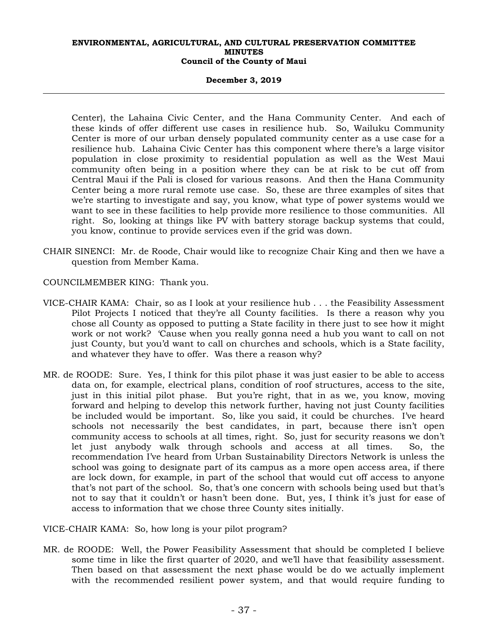#### **December 3, 2019**

Center), the Lahaina Civic Center, and the Hana Community Center. And each of these kinds of offer different use cases in resilience hub. So, Wailuku Community Center is more of our urban densely populated community center as a use case for a resilience hub. Lahaina Civic Center has this component where there's a large visitor population in close proximity to residential population as well as the West Maui community often being in a position where they can be at risk to be cut off from Central Maui if the Pali is closed for various reasons. And then the Hana Community Center being a more rural remote use case. So, these are three examples of sites that we're starting to investigate and say, you know, what type of power systems would we want to see in these facilities to help provide more resilience to those communities. All right. So, looking at things like PV with battery storage backup systems that could, you know, continue to provide services even if the grid was down.

- CHAIR SINENCI: Mr. de Roode, Chair would like to recognize Chair King and then we have a question from Member Kama.
- COUNCILMEMBER KING: Thank you.
- VICE-CHAIR KAMA: Chair, so as I look at your resilience hub . . . the Feasibility Assessment Pilot Projects I noticed that they're all County facilities. Is there a reason why you chose all County as opposed to putting a State facility in there just to see how it might work or not work? 'Cause when you really gonna need a hub you want to call on not just County, but you'd want to call on churches and schools, which is a State facility, and whatever they have to offer. Was there a reason why?
- MR. de ROODE: Sure. Yes, I think for this pilot phase it was just easier to be able to access data on, for example, electrical plans, condition of roof structures, access to the site, just in this initial pilot phase. But you're right, that in as we, you know, moving forward and helping to develop this network further, having not just County facilities be included would be important. So, like you said, it could be churches. I've heard schools not necessarily the best candidates, in part, because there isn't open community access to schools at all times, right. So, just for security reasons we don't let just anybody walk through schools and access at all times. So, the recommendation I've heard from Urban Sustainability Directors Network is unless the school was going to designate part of its campus as a more open access area, if there are lock down, for example, in part of the school that would cut off access to anyone that's not part of the school. So, that's one concern with schools being used but that's not to say that it couldn't or hasn't been done. But, yes, I think it's just for ease of access to information that we chose three County sites initially.

VICE-CHAIR KAMA: So, how long is your pilot program?

MR. de ROODE: Well, the Power Feasibility Assessment that should be completed I believe some time in like the first quarter of 2020, and we'll have that feasibility assessment. Then based on that assessment the next phase would be do we actually implement with the recommended resilient power system, and that would require funding to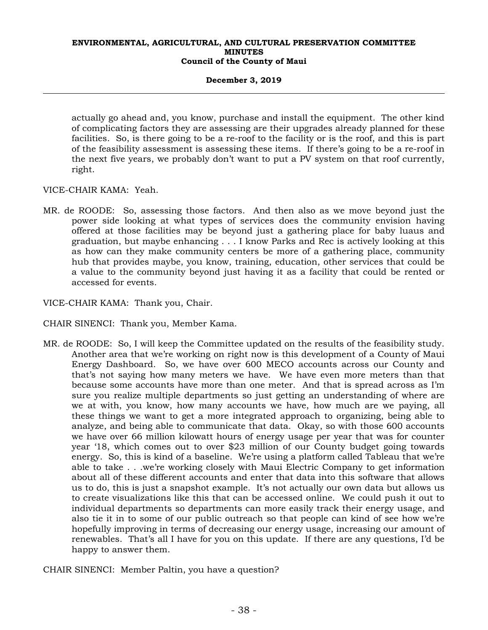## **December 3, 2019**

actually go ahead and, you know, purchase and install the equipment. The other kind of complicating factors they are assessing are their upgrades already planned for these facilities. So, is there going to be a re-roof to the facility or is the roof, and this is part of the feasibility assessment is assessing these items. If there's going to be a re-roof in the next five years, we probably don't want to put a PV system on that roof currently, right.

VICE-CHAIR KAMA: Yeah.

MR. de ROODE: So, assessing those factors. And then also as we move beyond just the power side looking at what types of services does the community envision having offered at those facilities may be beyond just a gathering place for baby luaus and graduation, but maybe enhancing . . . I know Parks and Rec is actively looking at this as how can they make community centers be more of a gathering place, community hub that provides maybe, you know, training, education, other services that could be a value to the community beyond just having it as a facility that could be rented or accessed for events.

VICE-CHAIR KAMA: Thank you, Chair.

CHAIR SINENCI: Thank you, Member Kama.

MR. de ROODE: So, I will keep the Committee updated on the results of the feasibility study. Another area that we're working on right now is this development of a County of Maui Energy Dashboard. So, we have over 600 MECO accounts across our County and that's not saying how many meters we have. We have even more meters than that because some accounts have more than one meter. And that is spread across as I'm sure you realize multiple departments so just getting an understanding of where are we at with, you know, how many accounts we have, how much are we paying, all these things we want to get a more integrated approach to organizing, being able to analyze, and being able to communicate that data. Okay, so with those 600 accounts we have over 66 million kilowatt hours of energy usage per year that was for counter year '18, which comes out to over \$23 million of our County budget going towards energy. So, this is kind of a baseline. We're using a platform called Tableau that we're able to take . . .we're working closely with Maui Electric Company to get information about all of these different accounts and enter that data into this software that allows us to do, this is just a snapshot example. It's not actually our own data but allows us to create visualizations like this that can be accessed online. We could push it out to individual departments so departments can more easily track their energy usage, and also tie it in to some of our public outreach so that people can kind of see how we're hopefully improving in terms of decreasing our energy usage, increasing our amount of renewables. That's all I have for you on this update. If there are any questions, I'd be happy to answer them.

CHAIR SINENCI: Member Paltin, you have a question?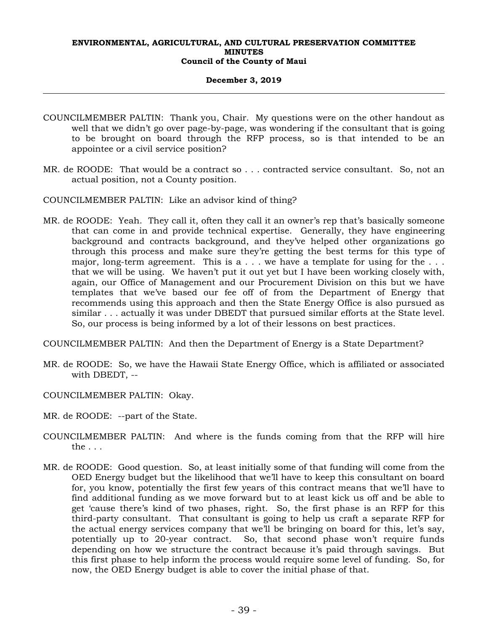## **December 3, 2019**

- COUNCILMEMBER PALTIN: Thank you, Chair. My questions were on the other handout as well that we didn't go over page-by-page, was wondering if the consultant that is going to be brought on board through the RFP process, so is that intended to be an appointee or a civil service position?
- MR. de ROODE: That would be a contract so . . . contracted service consultant. So, not an actual position, not a County position.
- COUNCILMEMBER PALTIN: Like an advisor kind of thing?
- MR. de ROODE: Yeah. They call it, often they call it an owner's rep that's basically someone that can come in and provide technical expertise. Generally, they have engineering background and contracts background, and they've helped other organizations go through this process and make sure they're getting the best terms for this type of major, long-term agreement. This is a  $\dots$  we have a template for using for the  $\dots$ that we will be using. We haven't put it out yet but I have been working closely with, again, our Office of Management and our Procurement Division on this but we have templates that we've based our fee off of from the Department of Energy that recommends using this approach and then the State Energy Office is also pursued as similar . . . actually it was under DBEDT that pursued similar efforts at the State level. So, our process is being informed by a lot of their lessons on best practices.

COUNCILMEMBER PALTIN: And then the Department of Energy is a State Department?

- MR. de ROODE: So, we have the Hawaii State Energy Office, which is affiliated or associated with DBEDT, --
- COUNCILMEMBER PALTIN: Okay.

MR. de ROODE: --part of the State.

- COUNCILMEMBER PALTIN: And where is the funds coming from that the RFP will hire the . . .
- MR. de ROODE: Good question. So, at least initially some of that funding will come from the OED Energy budget but the likelihood that we'll have to keep this consultant on board for, you know, potentially the first few years of this contract means that we'll have to find additional funding as we move forward but to at least kick us off and be able to get 'cause there's kind of two phases, right. So, the first phase is an RFP for this third-party consultant. That consultant is going to help us craft a separate RFP for the actual energy services company that we'll be bringing on board for this, let's say, potentially up to 20-year contract. So, that second phase won't require funds depending on how we structure the contract because it's paid through savings. But this first phase to help inform the process would require some level of funding. So, for now, the OED Energy budget is able to cover the initial phase of that.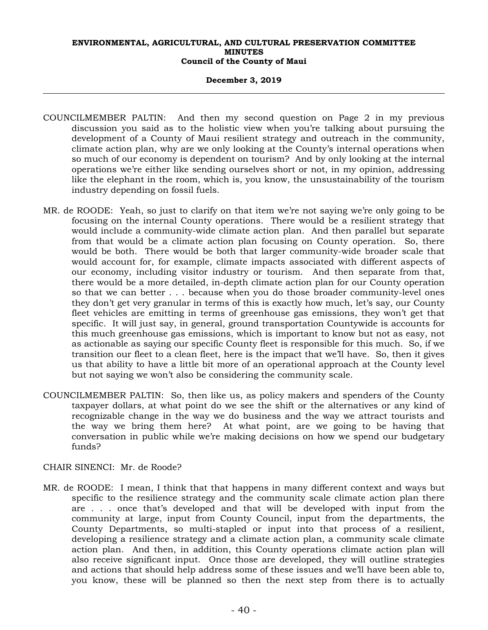## **December 3, 2019**

- COUNCILMEMBER PALTIN: And then my second question on Page 2 in my previous discussion you said as to the holistic view when you're talking about pursuing the development of a County of Maui resilient strategy and outreach in the community, climate action plan, why are we only looking at the County's internal operations when so much of our economy is dependent on tourism? And by only looking at the internal operations we're either like sending ourselves short or not, in my opinion, addressing like the elephant in the room, which is, you know, the unsustainability of the tourism industry depending on fossil fuels.
- MR. de ROODE: Yeah, so just to clarify on that item we're not saying we're only going to be focusing on the internal County operations. There would be a resilient strategy that would include a community-wide climate action plan. And then parallel but separate from that would be a climate action plan focusing on County operation. So, there would be both. There would be both that larger community-wide broader scale that would account for, for example, climate impacts associated with different aspects of our economy, including visitor industry or tourism. And then separate from that, there would be a more detailed, in-depth climate action plan for our County operation so that we can better . . . because when you do those broader community-level ones they don't get very granular in terms of this is exactly how much, let's say, our County fleet vehicles are emitting in terms of greenhouse gas emissions, they won't get that specific. It will just say, in general, ground transportation Countywide is accounts for this much greenhouse gas emissions, which is important to know but not as easy, not as actionable as saying our specific County fleet is responsible for this much. So, if we transition our fleet to a clean fleet, here is the impact that we'll have. So, then it gives us that ability to have a little bit more of an operational approach at the County level but not saying we won't also be considering the community scale.
- COUNCILMEMBER PALTIN: So, then like us, as policy makers and spenders of the County taxpayer dollars, at what point do we see the shift or the alternatives or any kind of recognizable change in the way we do business and the way we attract tourists and the way we bring them here? At what point, are we going to be having that conversation in public while we're making decisions on how we spend our budgetary funds?
- CHAIR SINENCI: Mr. de Roode?
- MR. de ROODE: I mean, I think that that happens in many different context and ways but specific to the resilience strategy and the community scale climate action plan there are . . . once that's developed and that will be developed with input from the community at large, input from County Council, input from the departments, the County Departments, so multi-stapled or input into that process of a resilient, developing a resilience strategy and a climate action plan, a community scale climate action plan. And then, in addition, this County operations climate action plan will also receive significant input. Once those are developed, they will outline strategies and actions that should help address some of these issues and we'll have been able to, you know, these will be planned so then the next step from there is to actually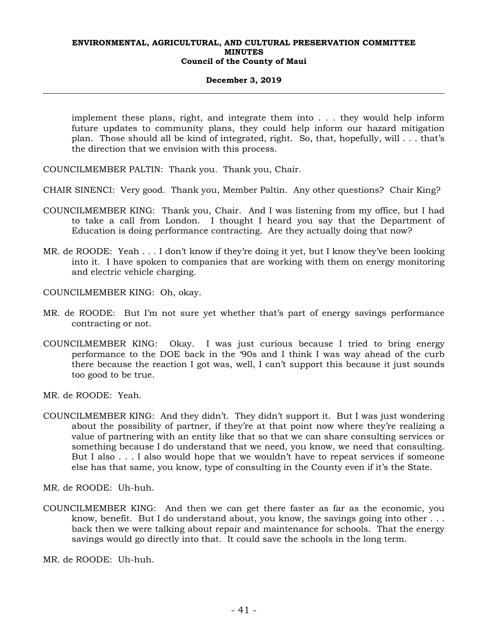#### **December 3, 2019**

implement these plans, right, and integrate them into . . . they would help inform future updates to community plans, they could help inform our hazard mitigation plan. Those should all be kind of integrated, right. So, that, hopefully, will . . . that's the direction that we envision with this process.

COUNCILMEMBER PALTIN: Thank you. Thank you, Chair.

- CHAIR SINENCI: Very good. Thank you, Member Paltin. Any other questions? Chair King?
- COUNCILMEMBER KING: Thank you, Chair. And I was listening from my office, but I had to take a call from London. I thought I heard you say that the Department of Education is doing performance contracting. Are they actually doing that now?
- MR. de ROODE: Yeah . . . I don't know if they're doing it yet, but I know they've been looking into it. I have spoken to companies that are working with them on energy monitoring and electric vehicle charging.

COUNCILMEMBER KING: Oh, okay.

- MR. de ROODE: But I'm not sure yet whether that's part of energy savings performance contracting or not.
- COUNCILMEMBER KING: Okay. I was just curious because I tried to bring energy performance to the DOE back in the '90s and I think I was way ahead of the curb there because the reaction I got was, well, I can't support this because it just sounds too good to be true.

MR. de ROODE: Yeah.

COUNCILMEMBER KING: And they didn't. They didn't support it. But I was just wondering about the possibility of partner, if they're at that point now where they're realizing a value of partnering with an entity like that so that we can share consulting services or something because I do understand that we need, you know, we need that consulting. But I also . . . I also would hope that we wouldn't have to repeat services if someone else has that same, you know, type of consulting in the County even if it's the State.

MR. de ROODE: Uh-huh.

COUNCILMEMBER KING: And then we can get there faster as far as the economic, you know, benefit. But I do understand about, you know, the savings going into other . . . back then we were talking about repair and maintenance for schools. That the energy savings would go directly into that. It could save the schools in the long term.

MR. de ROODE: Uh-huh.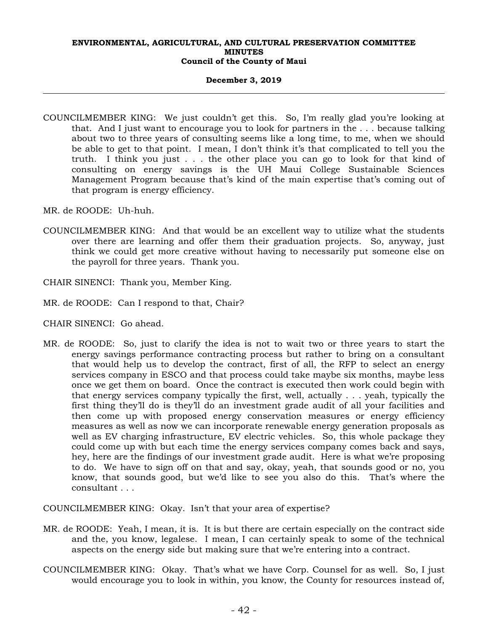#### **December 3, 2019**

- COUNCILMEMBER KING: We just couldn't get this. So, I'm really glad you're looking at that. And I just want to encourage you to look for partners in the . . . because talking about two to three years of consulting seems like a long time, to me, when we should be able to get to that point. I mean, I don't think it's that complicated to tell you the truth. I think you just . . . the other place you can go to look for that kind of consulting on energy savings is the UH Maui College Sustainable Sciences Management Program because that's kind of the main expertise that's coming out of that program is energy efficiency.
- MR. de ROODE: Uh-huh.
- COUNCILMEMBER KING: And that would be an excellent way to utilize what the students over there are learning and offer them their graduation projects. So, anyway, just think we could get more creative without having to necessarily put someone else on the payroll for three years. Thank you.
- CHAIR SINENCI: Thank you, Member King.
- MR. de ROODE: Can I respond to that, Chair?
- CHAIR SINENCI: Go ahead.
- MR. de ROODE: So, just to clarify the idea is not to wait two or three years to start the energy savings performance contracting process but rather to bring on a consultant that would help us to develop the contract, first of all, the RFP to select an energy services company in ESCO and that process could take maybe six months, maybe less once we get them on board. Once the contract is executed then work could begin with that energy services company typically the first, well, actually . . . yeah, typically the first thing they'll do is they'll do an investment grade audit of all your facilities and then come up with proposed energy conservation measures or energy efficiency measures as well as now we can incorporate renewable energy generation proposals as well as EV charging infrastructure, EV electric vehicles. So, this whole package they could come up with but each time the energy services company comes back and says, hey, here are the findings of our investment grade audit. Here is what we're proposing to do. We have to sign off on that and say, okay, yeah, that sounds good or no, you know, that sounds good, but we'd like to see you also do this. That's where the consultant . . .

COUNCILMEMBER KING: Okay. Isn't that your area of expertise?

- MR. de ROODE: Yeah, I mean, it is. It is but there are certain especially on the contract side and the, you know, legalese. I mean, I can certainly speak to some of the technical aspects on the energy side but making sure that we're entering into a contract.
- COUNCILMEMBER KING: Okay. That's what we have Corp. Counsel for as well. So, I just would encourage you to look in within, you know, the County for resources instead of,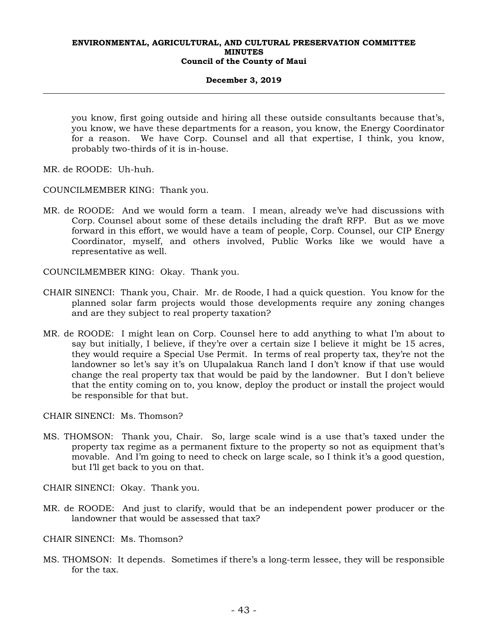## **December 3, 2019**

you know, first going outside and hiring all these outside consultants because that's, you know, we have these departments for a reason, you know, the Energy Coordinator for a reason. We have Corp. Counsel and all that expertise, I think, you know, probably two-thirds of it is in-house.

MR. de ROODE: Uh-huh.

COUNCILMEMBER KING: Thank you.

MR. de ROODE: And we would form a team. I mean, already we've had discussions with Corp. Counsel about some of these details including the draft RFP. But as we move forward in this effort, we would have a team of people, Corp. Counsel, our CIP Energy Coordinator, myself, and others involved, Public Works like we would have a representative as well.

COUNCILMEMBER KING: Okay. Thank you.

- CHAIR SINENCI: Thank you, Chair. Mr. de Roode, I had a quick question. You know for the planned solar farm projects would those developments require any zoning changes and are they subject to real property taxation?
- MR. de ROODE: I might lean on Corp. Counsel here to add anything to what I'm about to say but initially, I believe, if they're over a certain size I believe it might be 15 acres, they would require a Special Use Permit. In terms of real property tax, they're not the landowner so let's say it's on Ulupalakua Ranch land I don't know if that use would change the real property tax that would be paid by the landowner. But I don't believe that the entity coming on to, you know, deploy the product or install the project would be responsible for that but.

CHAIR SINENCI: Ms. Thomson?

MS. THOMSON: Thank you, Chair. So, large scale wind is a use that's taxed under the property tax regime as a permanent fixture to the property so not as equipment that's movable. And I'm going to need to check on large scale, so I think it's a good question, but I'll get back to you on that.

CHAIR SINENCI: Okay. Thank you.

- MR. de ROODE: And just to clarify, would that be an independent power producer or the landowner that would be assessed that tax?
- CHAIR SINENCI: Ms. Thomson?
- MS. THOMSON: It depends. Sometimes if there's a long-term lessee, they will be responsible for the tax.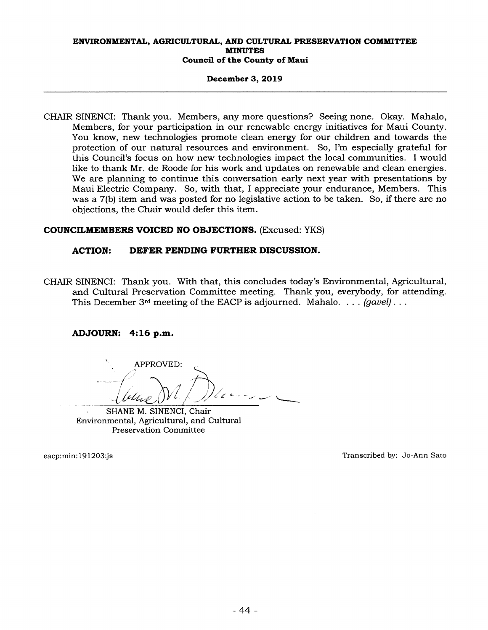#### December 3, 2019

CHAIR SINENCI: Thank you. Members, any more questions? Seeing none. Okay. Mahalo, Members, for your participation in our renewable energy initiatives for Maui County. You know, new technologies promote clean energy for our children and towards the protection of our natural resources and environment. So, I'm especially grateful for this Council's focus on how new technologies impact the local communities. <sup>I</sup> would like to thank Mr. de Roode for his work and updates on renewable and clean energies. We are planning to continue this conversation early next year with presentations by Maui Electric Company. So, with that, <sup>I</sup> appreciate your endurance, Members. This was a 7(b) item and was posted for no legislative action to be taken. So, if there are no objections, the Chair would defer this item.

# COUNCILMEMBERS VOICED NO OBJECTIONS. (Excused: YKS)

# ACTION: DEFER PENDING FURTHER DISCUSSION.

CHAIR SINENCI: Thank you. With that, this concludes today's Environmental, Agricultural, and Cultural Preservation Committee meeting. Thank you, everybody, for attending. This December 3<sup>rd</sup> meeting of the EACP is adjourned. Mahalo. . . . *(gavel)...* 

# ADJOURN: 4:16 p.m.

<sup>C</sup> • — — APPROVED:

SHANE M. SINENCI, Chair Environmental, Agricultural, and Cultural Preservation Committee

eacp:min: 191203:js

Transcribed by: Jo-Ann Sato